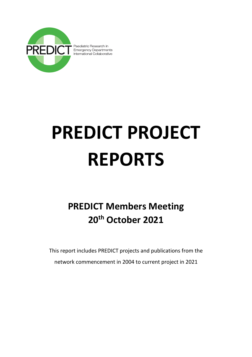

Paediatric Research in International Collaborative

# **PREDICT PROJECT REPORTS**

# **PREDICT Members Meeting 20 th October 2021**

This report includes PREDICT projects and publications from the network commencement in 2004 to current project in 2021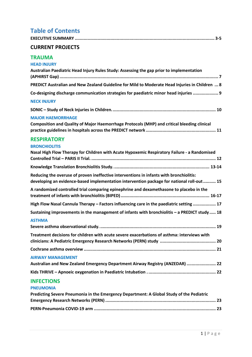# **Table of Contents**

|--|

# **CURRENT PROJECTS**

# **TRAUMA**

| <b>HEAD INJURY</b>                                                                                                                                                                   |
|--------------------------------------------------------------------------------------------------------------------------------------------------------------------------------------|
| Australian Paediatric Head Injury Rules Study: Assessing the gap prior to implementation                                                                                             |
| PREDICT Australian and New Zealand Guideline for Mild to Moderate Head Injuries in Children  8                                                                                       |
| Co-designing discharge communication strategies for paediatric minor head injuries  9                                                                                                |
| <b>NECK INJURY</b>                                                                                                                                                                   |
|                                                                                                                                                                                      |
| <b>MAJOR HAEMORRHAGE</b><br>Composition and Quality of Major Haemorrhage Protocols (MHP) and critical bleeding clinical                                                              |
| <b>RESPIRATORY</b>                                                                                                                                                                   |
| <b>BRONCHIOLITIS</b><br>Nasal High Flow Therapy for Children with Acute Hypoxemic Respiratory Failure - a Randomised                                                                 |
|                                                                                                                                                                                      |
| Reducing the overuse of proven ineffective interventions in infants with bronchiolitis:<br>developing an evidence-based implementation intervention package for national roll-out 15 |
| A randomized controlled trial comparing epinephrine and dexamethasone to placebo in the                                                                                              |
| High Flow Nasal Cannula Therapy - Factors influencing care in the paediatric setting  17                                                                                             |
| Sustaining improvements in the management of infants with bronchiolitis - a PREDICT study  18                                                                                        |
| <b>ASTHMA</b>                                                                                                                                                                        |
| Treatment decisions for children with acute severe exacerbations of asthma: interviews with                                                                                          |
|                                                                                                                                                                                      |
|                                                                                                                                                                                      |
| <b>AIRWAY MANAGEMENT</b><br>Australian and New Zealand Emergency Department Airway Registry (ANZEDAR)  22                                                                            |
|                                                                                                                                                                                      |
| <b>INFECTIONS</b><br><b>PNEUMONIA</b><br>Predicting Severe Pneumonia in the Emergency Department: A Global Study of the Pediatric                                                    |
|                                                                                                                                                                                      |

**PERN-Pneumonia COVID-19 arm ................................................................................................ 23**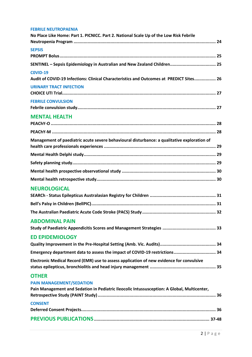#### **FEBRILE NEUTROPAENIA**

| No Place Like Home: Part 1. PICNICC. Part 2. National Scale Up of the Low Risk Febrile                                                         |
|------------------------------------------------------------------------------------------------------------------------------------------------|
| <b>SEPSIS</b>                                                                                                                                  |
| SENTINEL - Sepsis Epidemiology in Australian and New Zealand Children 25                                                                       |
| <b>COVID-19</b><br>Audit of COVID-19 Infections: Clinical Characteristics and Outcomes at PREDICT Sites 26                                     |
| <b>URINARY TRACT INFECTION</b>                                                                                                                 |
| <b>FEBRILE CONVULSION</b>                                                                                                                      |
| <b>MENTAL HEALTH</b>                                                                                                                           |
|                                                                                                                                                |
| Management of paediatric acute severe behavioural disturbance: a qualitative exploration of                                                    |
|                                                                                                                                                |
|                                                                                                                                                |
|                                                                                                                                                |
|                                                                                                                                                |
| <b>NEUROLOGICAL</b>                                                                                                                            |
|                                                                                                                                                |
|                                                                                                                                                |
| <b>ABDOMINAL PAIN</b>                                                                                                                          |
| <b>ED EPIDEMIOLOGY</b>                                                                                                                         |
| Emergency department data to assess the impact of COVID-19 restrictions 34                                                                     |
| Electronic Medical Record (EMR) use to assess application of new evidence for convulsive                                                       |
| <b>OTHER</b><br><b>PAIN MANAGEMENT/SEDATION</b><br>Pain Management and Sedation in Pediatric Ileocolic Intussusception: A Global, Multicenter, |
| <b>CONSENT</b>                                                                                                                                 |
|                                                                                                                                                |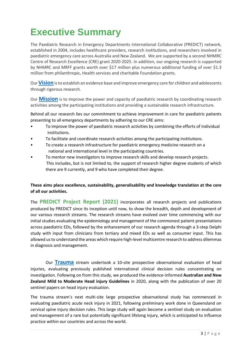# **Executive Summary**

The Paediatric Research in Emergency Departments International Collaborative (PREDICT) network, established in 2004, includes healthcare providers, research institutions, and researchers involved in paediatric emergency care across Australia and New Zealand. We are supported by a second NHMRC Centre of Research Excellence (CRE) grant 2020-2025. In addition, our ongoing research is supported by NHMRC and MRFF grants worth over \$17 million plus numerous additional funding of over \$1.3 million from philanthropic, Health services and charitable Foundation grants.

Our **[Vision](https://www.predict.org.au/about-us/)** is to establish an evidence base and improve emergency care for children and adolescents through rigorous research.

Our **[Mission](https://www.predict.org.au/about-us/)** is to improve the power and capacity of paediatric research by coordinating research activities among the participating institutions and providing a sustainable research infrastructure.

Behind all our research lies our commitment to achieve improvement in care for paediatric patients presenting to all emergency departments by adhering to our CRE aims:

- To improve the power of paediatric research activities by combining the efforts of individual institutions.
- To facilitate and coordinate research activities among the participating institutions.
- To create a research infrastructure for paediatric emergency medicine research on a national and international level in the participating countries.
- To mentor new investigators to improve research skills and develop research projects. This includes, but is not limited to, the support of research higher degree students of which there are 9 currently, and 9 who have completed their degree.

### **These aims place excellence, sustainability, generalisability and knowledge translation at the core of all our activities.**

The **PREDICT Project Report (2021)** incorporates all research projects and publications produced by PREDICT since its inception until now, to show the breadth, depth and development of our various research streams. The research streams have evolved over time commencing with our initial studies evaluating the epidemiology and management of the commonest patient presentations across paediatric EDs, followed by the enhancement of our research agenda through a 3-step Delphi study with input from clinicians from tertiary and mixed EDs as well as consumer input. This has allowed us to understand the areas which require high-level multicentre research to address dilemmas in diagnosis and management.

Our **[Trauma](#page-6-0)** stream undertook a 10-site prospective observational evaluation of head injuries, evaluating previously published international clinical decision rules concentrating on investigation. Following on from this study, we produced the evidence-informed **Australian and New Zealand Mild to Moderate Head injury Guidelines** in 2020, along with the publication of over 20 sentinel papers on head injury evaluation.

The trauma stream's next multi-site large prospective observational study has commenced in evaluating paediatric acute neck injury in 2021, following preliminary work done in Queensland on cervical spine injury decision rules. This large study will again become a sentinel study on evaluation and management of a rare but potentially significant lifelong injury, which is anticipated to influence practice within our countries and across the world.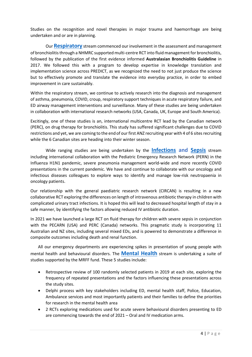Studies on the recognition and novel therapies in major trauma and haemorrhage are being undertaken and or are in planning.

Our **[Respiratory](#page-11-0)** stream commenced our involvement in the assessment and management of bronchiolitis through a NHMRC supported multi-centre RCT into fluid management for bronchiolitis, followed by the publication of the first evidence informed **Australasian Bronchiolitis Guideline** in 2017. We followed this with a program to develop expertise in knowledge translation and implementation science across PREDICT, as we recognized the need to not just produce the science but to effectively promote and translate the evidence into everyday practice, in order to embed improvement in care sustainably.

Within the respiratory stream, we continue to actively research into the diagnosis and management of asthma, pneumonia, COVID, croup, respiratory support techniques in acute respiratory failure, and ED airway management interventions and surveillance. Many of these studies are being undertaken in collaboration with international research networks (USA, Canada, UK, Europe and South America).

Excitingly, one of these studies is an, international multicentre RCT lead by the Canadian network (PERC), on drug therapy for bronchiolitis. This study has suffered significant challenges due to COVID restrictions and yet, we are coming to the end of our first ANZ recruiting year with 4 of 6 sites recruiting while the 6 Canadian sites are heading into their winter season.

Wide ranging studies are being undertaken by the **[Infections](#page-22-0) and [Sepsis](#page-24-0)** stream including international collaboration with the Pediatric Emergency Research Network (PERN) in the Influenza H1N1 pandemic, severe pneumonia management world-wide and more recently COVID presentations in the current pandemic. We have and continue to collaborate with our oncology and infectious diseases colleagues to explore ways to identify and manage low-risk neutropaenia in oncology patients.

Our relationship with the general paediatric research network (CIRCAN) is resulting in a new collaborative RCT exploring the differences on length of intravenous antibiotic therapy in children with complicated urinary tract infections. It is hoped this will lead to decreased hospital length of stay in a safe manner, by identifying the factors allowing reduced IV antibiotic duration.

In 2021 we have launched a large RCT on fluid therapy for children with severe sepsis in conjunction with the PECARN (USA) and PERC (Canada) networks. This pragmatic study is incorporating 11 Australian and NZ sites, including several mixed EDs, and is powered to demonstrate a difference in composite outcomes including death and renal function.

All our emergency departments are experiencing spikes in presentation of young people with mental health and behavioural disorders. The **[Mental Health](#page-27-0)** stream is undertaking a suite of studies supported by the MRFF fund. These 5 studies include:

- Retrospective review of 100 randomly selected patients in 2019 at each site, exploring the frequency of repeated presentations and the factors influencing these presentations across the study sites.
- Delphi process with key stakeholders including ED, mental health staff, Police, Education, Ambulance services and most importantly patients and their families to define the priorities for research in the mental health area
- 2 RCTs exploring medications used for acute severe behavioural disorders presenting to ED are commencing towards the end of 2021 – Oral and IV medication arms.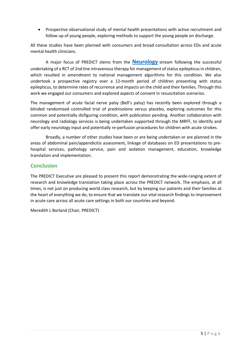• Prospective observational study of mental health presentations with active recruitment and follow up of young people, exploring methods to support the young people on discharge.

All these studies have been planned with consumers and broad consultation across EDs and acute mental health clinicians.

A major focus of PREDICT stems from the **[Neurology](#page-30-0)** stream following the successful undertaking of a RCT of 2nd line intravenous therapy for management of status epilepticus in children, which resulted in amendment to national management algorithms for this condition. We also undertook a prospective registry over a 12-month period of children presenting with status epilepticus, to determine rates of recurrence and impacts on the child and their families. Through this work we engaged our consumers and explored aspects of consent in resuscitation scenarios.

The management of acute facial nerve palsy (Bell's palsy) has recently been explored through a blinded randomised controlled trial of prednisolone versus placebo, exploring outcomes for this common and potentially disfiguring condition, with publication pending. Another collaboration with neurology and radiology services is being undertaken supported through the MRFF, to identify and offer early neurology input and potentially re-perfusion procedures for children with acute strokes.

Broadly, a number of other studies have been or are being undertaken or are planned in the areas of abdominal pain/appendicitis assessment, linkage of databases on ED presentations to prehospital services, pathology service, pain and sedation management, education, knowledge translation and implementation.

# **Conclusion**

The PREDICT Executive are pleased to present this report demonstrating the wide-ranging extent of research and knowledge translation taking place across the PREDICT network. The emphasis, at all times, is not just on producing world class research, but by keeping our patients and their families at the heart of everything we do, to ensure that we translate our vital research findings to improvement in acute care across all acute care settings in both our countries and beyond.

Meredith L Borland (Chair, PREDICT)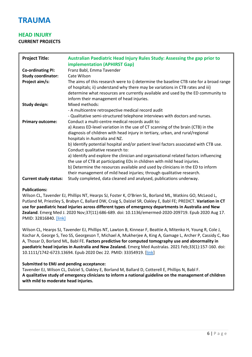

# <span id="page-6-0"></span>**HEAD INJURY**

**CURRENT PROJECTS**

| <b>Project Title:</b>                                                   | Australian Paediatric Head Injury Rules Study: Assessing the gap prior to<br><b>implementation (APHIRST Gap)</b>                                                                                                                                                                                                                                                                                                                                                                                                                                                                                                                                                                                                    |
|-------------------------------------------------------------------------|---------------------------------------------------------------------------------------------------------------------------------------------------------------------------------------------------------------------------------------------------------------------------------------------------------------------------------------------------------------------------------------------------------------------------------------------------------------------------------------------------------------------------------------------------------------------------------------------------------------------------------------------------------------------------------------------------------------------|
| <b>Co-ordinating PI:</b><br><b>Study coordinator:</b><br>Project aim/s: | Franz Babl, Emma Tavender<br>Cate Wilson<br>The aims of this research were to i) determine the baseline CTB rate for a broad range<br>of hospitals; ii) understand why there may be variations in CTB rates and iii)<br>determine what resources are currently available and used by the ED community to<br>inform their management of head injuries.                                                                                                                                                                                                                                                                                                                                                               |
| <b>Study design:</b>                                                    | Mixed methods:<br>- A multicentre retrospective medical record audit<br>- Qualitative semi-structured telephone interviews with doctors and nurses.                                                                                                                                                                                                                                                                                                                                                                                                                                                                                                                                                                 |
| <b>Primary outcome:</b>                                                 | Conduct a multi-centre medical records audit to:<br>a) Assess ED-level variation in the use of CT scanning of the brain (CTB) in the<br>diagnosis of children with head injury in tertiary, urban, and rural/regional<br>hospitals in Australia and NZ.<br>b) Identify potential hospital and/or patient level factors associated with CTB use.<br>Conduct qualitative research to:<br>a) Identify and explore the clinician and organisational related factors influencing<br>the use of CTB at participating EDs in children with mild head injuries.<br>b) Determine the resources available and used by clinicians in the ED to inform<br>their management of mild head injuries; through qualitative research. |
| <b>Current study status:</b>                                            | Study completed, data cleaned and analysed, publications underway.                                                                                                                                                                                                                                                                                                                                                                                                                                                                                                                                                                                                                                                  |

#### **Publications:**

Wilson CL, Tavender EJ, Phillips NT, Hearps SJ, Foster K, O'Brien SL, Borland ML, Watkins GO, McLeod L, Putland M, Priestley S, Brabyn C, Ballard DW, Craig S, Dalziel SR, Oakley E, Babl FE; PREDICT. **Variation in CT use for paediatric head injuries across different types of emergency departments in Australia and New Zealand**. Emerg Med J. 2020 Nov;37(11):686-689. doi: 10.1136/emermed-2020-209719. Epub 2020 Aug 17. PMID: 32816840. [\[link\]](https://pubmed.ncbi.nlm.nih.gov/32816840/)

Wilson CL, Hearps SJ, Tavender EJ, Phillips NT, Lawton B, Kinnear F, Beattie A, Mitenko H, Young R, Cole J, Kochar A, George S, Teo SS, Georgeson T, Michael A, Mukherjee A, King A, Gamage L, Archer P, Cassidy C, Rao A, Thosar D, Borland ML, Babl FE. **Factors predictive for computed tomography use and abnormality in paediatric head injuries in Australia and New Zealand.** Emerg Med Australas. 2021 Feb;33(1):157-160. doi: 10.1111/1742-6723.13694. Epub 2020 Dec 22. PMID: 33354919. [\[link\]](https://pubmed.ncbi.nlm.nih.gov/33354919/)

#### **Submitted to EMJ and pending acceptance:**

Tavender EJ, Wilson CL, Dalziel S, Oakley E, Borland M, Ballard D, Cotterell E, Phillips N, Babl F. **A qualitative study of emergency clinicians to inform a national guideline on the management of children with mild to moderate head injuries.**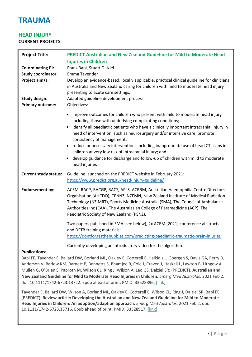### **HEAD INJURY CURRENT PROJECTS**

| <b>Project Title:</b>                                                                           | PREDICT Australian and New Zealand Guideline for Mild to Moderate Head<br><b>Injuries in Children</b>                                                                                                                                                                                                                                                                                                                                                                                                                                                                                                                       |
|-------------------------------------------------------------------------------------------------|-----------------------------------------------------------------------------------------------------------------------------------------------------------------------------------------------------------------------------------------------------------------------------------------------------------------------------------------------------------------------------------------------------------------------------------------------------------------------------------------------------------------------------------------------------------------------------------------------------------------------------|
| <b>Co-ordinating PI:</b><br><b>Study coordinator:</b><br>Project aim/s:<br><b>Study design:</b> | Franz Babl, Stuart Dalziel<br>Emma Tavender<br>Develop an evidence-based, locally applicable, practical clinical guideline for clinicians<br>in Australia and New Zealand caring for children with mild to moderate head injury<br>presenting to acute care settings.<br>Adapted guideline development process                                                                                                                                                                                                                                                                                                              |
| <b>Primary outcome:</b>                                                                         | Objectives:<br>• improve outcomes for children who present with mild to moderate head injury<br>including those with underlying complicating conditions;<br>identify all paediatric patients who have a clinically important intracranial injury in<br>need of intervention, such as neurosurgery and/or intensive care; promote<br>consistency of management;<br>reduce unnecessary interventions including inappropriate use of head CT scans in<br>children at very low risk of intracranial injury; and<br>develop guidance for discharge and follow-up of children with mild to moderate<br>$\bullet$<br>head injuries |
| <b>Current study status:</b>                                                                    | Guideline launched on the PREDICT website in February 2021:<br>https://www.predict.org.au/head-injury-guideline/                                                                                                                                                                                                                                                                                                                                                                                                                                                                                                            |
| <b>Endorsement by:</b>                                                                          | ACEM, RACP, RACGP, RACS, APLS, ACRRM, Australian Haemophilia Centre Directors'<br>Organisation (AHCDO), CENNZ, NZEMN, New Zealand Institute of Medical Radiation<br>Technology (NZIMRT), Sports Medicine Australia (SMA), The Council of Ambulance<br>Authorities Inc (CAA), The Australasian College of Paramedicine (ACP), The<br>Paediatric Society of New Zealand (PSNZ).                                                                                                                                                                                                                                               |
|                                                                                                 | Two papers published in EMA (see below), 2x ACEM (2021) conference abstracts<br>and DFTB training materials:<br>https://dontforgetthebubbles.com/predicting-paediatric-traumatic-brain-injuries                                                                                                                                                                                                                                                                                                                                                                                                                             |
|                                                                                                 | Currently developing an introductory video for the algorithm.                                                                                                                                                                                                                                                                                                                                                                                                                                                                                                                                                               |

#### **Publications:**

Babl FE, Tavender E, Ballard DW, Borland ML, Oakley E, Cotterell E, Halkidis L, Goergen S, Davis GA, Perry D, Anderson V, Barlow KM, Barnett P, Bennetts S, Bhamjee R, Cole J, Craven J, Haskell L, Lawton B, Lithgow A, Mullen G, O'Brien S, Paproth M, Wilson CL, Ring J, Wilson A, Leo GS, Dalziel SR; (PREDICT). **Australian and New Zealand Guideline for Mild to Moderate Head Injuries in Children.** *Emerg Med Australas*. 2021 Feb 2. doi: 10.1111/1742-6723.13722. Epub ahead of print. PMID: 33528896. [\[link\]](https://pubmed.ncbi.nlm.nih.gov/33528896/)

Tavender E, Ballard DW, Wilson A, Borland ML, Oakley E, Cotterell E, Wilson CL, Ring J, Dalziel SR, Babl FE; (PREDICT). **Review article: Developing the Australian and New Zealand Guideline for Mild to Moderate Head Injuries in Children: An adoption/adaption approach.** *Emerg Med Australas.* 2021 Feb 2. doi: 10.1111/1742-6723.13716. Epub ahead of print. PMID: 33528917. [\[link\]](https://pubmed.ncbi.nlm.nih.gov/33528917/)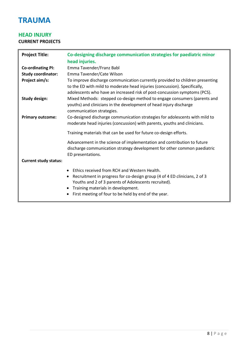# **HEAD INJURY CURRENT PROJECTS**

| <b>Project Title:</b>        | Co-designing discharge communication strategies for paediatric minor                   |
|------------------------------|----------------------------------------------------------------------------------------|
| <b>Co-ordinating PI:</b>     | head injuries.<br>Emma Tavender/Franz Babl                                             |
| <b>Study coordinator:</b>    | Emma Tavender/Cate Wilson                                                              |
|                              |                                                                                        |
| Project aim/s:               | To improve discharge communication currently provided to children presenting           |
|                              | to the ED with mild to moderate head injuries (concussion). Specifically,              |
|                              | adolescents who have an increased risk of post-concussion symptoms (PCS).              |
| <b>Study design:</b>         | Mixed Methods: stepped co-design method to engage consumers (parents and               |
|                              | youths) and clinicians in the development of head injury discharge                     |
|                              | communication strategies.                                                              |
| <b>Primary outcome:</b>      | Co-designed discharge communication strategies for adolescents with mild to            |
|                              | moderate head injuries (concussion) with parents, youths and clinicians.               |
|                              | Training materials that can be used for future co-design efforts.                      |
|                              | Advancement in the science of implementation and contribution to future                |
|                              | discharge communication strategy development for other common paediatric               |
|                              | ED presentations.                                                                      |
| <b>Current study status:</b> |                                                                                        |
|                              |                                                                                        |
|                              | Ethics received from RCH and Western Health.<br>$\bullet$                              |
|                              | Recruitment in progress for co-design group (4 of 4 ED clinicians, 2 of 3<br>$\bullet$ |
|                              | Youths and 2 of 3 parents of Adolescents recruited).                                   |
|                              | Training materials in development.                                                     |
|                              | First meeting of four to be held by end of the year.                                   |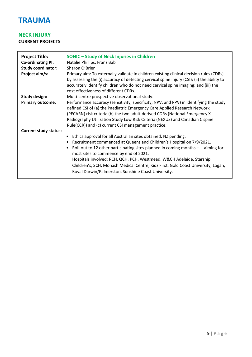# **NECK INJURY CURRENT PROJECTS**

| <b>Project Title:</b><br><b>Co-ordinating PI:</b><br><b>Study coordinator:</b><br>Project aim/s: | <b>SONIC - Study of Neck Injuries in Children</b><br>Natalie Phillips, Franz Babl<br>Sharon O'Brien<br>Primary aim: To externally validate in children existing clinical decision rules (CDRs)<br>by assessing the (i) accuracy of detecting cervical spine injury (CSI); (ii) the ability to<br>accurately identify children who do not need cervical spine imaging; and (iii) the<br>cost effectiveness of different CDRs.                                                             |
|--------------------------------------------------------------------------------------------------|------------------------------------------------------------------------------------------------------------------------------------------------------------------------------------------------------------------------------------------------------------------------------------------------------------------------------------------------------------------------------------------------------------------------------------------------------------------------------------------|
| Study design:                                                                                    | Multi-centre prospective observational study.                                                                                                                                                                                                                                                                                                                                                                                                                                            |
| <b>Primary outcome:</b><br><b>Current study status:</b>                                          | Performance accuracy (sensitivity, specificity, NPV, and PPV) in identifying the study<br>defined CSI of (a) the Paediatric Emergency Care Applied Research Network<br>(PECARN) risk criteria (b) the two adult-derived CDRs (National Emergency X-<br>Radiography Utilization Study Low Risk Criteria (NEXUS) and Canadian C spine<br>Rule(CCR)) and (c) current CSI management practice.                                                                                               |
|                                                                                                  | Ethics approval for all Australian sites obtained. NZ pending.<br>• Recruitment commenced at Queensland Children's Hospital on 7/9/2021.<br>Roll-out to 12 other participating sites planned in coming months - aiming for<br>most sites to commence by end of 2021.<br>Hospitals involved: RCH, QCH, PCH, Westmead, W&CH Adelaide, Starship<br>Children's, SCH, Monash Medical Centre, Kidz First, Gold Coast University, Logan,<br>Royal Darwin/Palmerston, Sunshine Coast University. |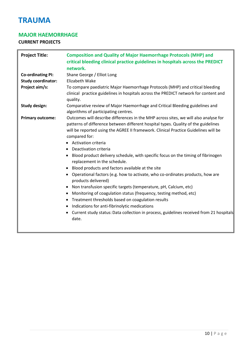# **MAJOR HAEMORRHAGE**

| <b>Project Title:</b>                                 | <b>Composition and Quality of Major Haemorrhage Protocols (MHP) and</b><br>critical bleeding clinical practice guidelines in hospitals across the PREDICT<br>network.                                                                                                                                                                                                                                                                                                                                                                                                                                                                                                                                                                                                                                                                                                                                                                                                                                               |
|-------------------------------------------------------|---------------------------------------------------------------------------------------------------------------------------------------------------------------------------------------------------------------------------------------------------------------------------------------------------------------------------------------------------------------------------------------------------------------------------------------------------------------------------------------------------------------------------------------------------------------------------------------------------------------------------------------------------------------------------------------------------------------------------------------------------------------------------------------------------------------------------------------------------------------------------------------------------------------------------------------------------------------------------------------------------------------------|
| <b>Co-ordinating PI:</b><br><b>Study coordinator:</b> | Shane George / Elliot Long<br>Elizabeth Wake                                                                                                                                                                                                                                                                                                                                                                                                                                                                                                                                                                                                                                                                                                                                                                                                                                                                                                                                                                        |
| Project aim/s:                                        | To compare paediatric Major Haemorrhage Protocols (MHP) and critical bleeding<br>clinical practice guidelines in hospitals across the PREDICT network for content and<br>quality.                                                                                                                                                                                                                                                                                                                                                                                                                                                                                                                                                                                                                                                                                                                                                                                                                                   |
| <b>Study design:</b>                                  | Comparative review of Major Haemorrhage and Critical Bleeding guidelines and<br>algorithms of participating centres.                                                                                                                                                                                                                                                                                                                                                                                                                                                                                                                                                                                                                                                                                                                                                                                                                                                                                                |
| <b>Primary outcome:</b>                               | Outcomes will describe differences in the MHP across sites, we will also analyse for<br>patterns of difference between different hospital types. Quality of the guidelines<br>will be reported using the AGREE II framework. Clinical Practice Guidelines will be<br>compared for:<br>• Activation criteria<br>Deactivation criteria<br>$\bullet$<br>Blood product delivery schedule, with specific focus on the timing of fibrinogen<br>replacement in the schedule.<br>Blood products and factors available at the site<br>Operational factors (e.g. how to activate, who co-ordinates products, how are<br>products delivered)<br>Non transfusion specific targets (temperature, pH, Calcium, etc)<br>Monitoring of coagulation status (frequency, testing method, etc)<br>$\bullet$<br>Treatment thresholds based on coagulation results<br>٠<br>Indications for anti-fibrinolytic medications<br>Current study status: Data collection in process, guidelines received from 21 hospitals<br>$\bullet$<br>date. |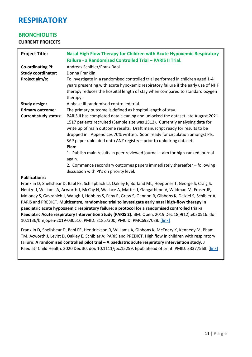### <span id="page-11-0"></span>**BRONCHIOLITIS**

**CURRENT PROJECTS**

| <b>Project Title:</b>        | Nasal High Flow Therapy for Children with Acute Hypoxemic Respiratory<br>Failure - a Randomised Controlled Trial - PARIS II Trial.                                                                                                                                                                                                                                                                                                                                                                                                                                                  |
|------------------------------|-------------------------------------------------------------------------------------------------------------------------------------------------------------------------------------------------------------------------------------------------------------------------------------------------------------------------------------------------------------------------------------------------------------------------------------------------------------------------------------------------------------------------------------------------------------------------------------|
|                              |                                                                                                                                                                                                                                                                                                                                                                                                                                                                                                                                                                                     |
| <b>Co-ordinating PI:</b>     | Andreas Schibler/Franz Babl                                                                                                                                                                                                                                                                                                                                                                                                                                                                                                                                                         |
| <b>Study coordinator:</b>    | Donna Franklin                                                                                                                                                                                                                                                                                                                                                                                                                                                                                                                                                                      |
| Project aim/s:               | To investigate in a randomised controlled trial performed in children aged 1-4<br>years presenting with acute hypoxemic respiratory failure if the early use of NHF<br>therapy reduces the hospital length of stay when compared to standard oxygen<br>therapy.                                                                                                                                                                                                                                                                                                                     |
| <b>Study design:</b>         | A phase III randomised controlled trial.                                                                                                                                                                                                                                                                                                                                                                                                                                                                                                                                            |
| <b>Primary outcome:</b>      | The primary outcome is defined as hospital length of stay.                                                                                                                                                                                                                                                                                                                                                                                                                                                                                                                          |
| <b>Current study status:</b> | PARIS II has completed data cleaning and unlocked the dataset late August 2021.<br>1517 patients recruited (Sample size was 1512). Currently analysing data for<br>write up of main outcome results. Draft manuscript ready for results to be<br>dropped in. Appendices 70% written. Soon ready for circulation amongst PIs.<br>SAP paper uploaded onto ANZ registry - prior to unlocking dataset.<br>Plan:<br>1. Publish main results in peer reviewed journal - aim for high-ranked journal<br>again.<br>2. Commence secondary outcomes papers immediately thereafter - following |
|                              | discussion with PI's on priority level.                                                                                                                                                                                                                                                                                                                                                                                                                                                                                                                                             |
| <b>Publications:</b>         |                                                                                                                                                                                                                                                                                                                                                                                                                                                                                                                                                                                     |

Franklin D, Shellshear D, Babl FE, Schlapbach LJ, Oakley E, Borland ML, Hoeppner T, George S, Craig S, Neutze J, Williams A, Acworth J, McCay H, Wallace A, Mattes J, Gangathimn V, Wildman M, Fraser JF, Moloney S, Gavranich J, Waugh J, Hobbins S, Fahy R, Grew S, Gannon B, Gibbons K, Dalziel S, Schibler A; PARIS and PREDICT. **Multicentre, randomised trial to investigate early nasal high-flow therapy in paediatric acute hypoxaemic respiratory failure: a protocol for a randomised controlled trial-a Paediatric Acute respiratory Intervention Study (PARIS 2).** BMJ Open. 2019 Dec 18;9(12):e030516. doi: 10.1136/bmjopen-2019-030516. PMID: 31857300; PMCID: PMC6937038. [\[link\]](https://pubmed.ncbi.nlm.nih.gov/31857300/)

Franklin D, Shellshear D, Babl FE, Hendrickson R, Williams A, Gibbons K, McEnery K, Kennedy M, Pham TM, Acworth J, Levitt D, Oakley E, Schibler A; PARIS and PREDICT. High flow in children with respiratory failure: A randomised controlled pilot trial – A paediatric acute respiratory intervention study. J Paediatr Child Health. 2020 Dec 30. doi: 10.1111/jpc.15259. Epub ahead of print. PMID: 33377568. [\[link\]](https://pubmed.ncbi.nlm.nih.gov/33377568/)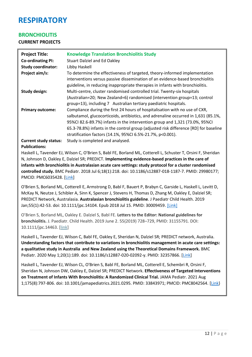### **BRONCHIOLITIS**

**CURRENT PROJECTS**

| <b>Project Title:</b><br><b>Co-ordinating PI:</b><br><b>Study coordinator:</b> | <b>Knowledge Translation Bronchiolitis Study</b><br><b>Stuart Dalziel and Ed Oakley</b><br>Libby Haskell                                                                                                                                                                                                                                                                                               |
|--------------------------------------------------------------------------------|--------------------------------------------------------------------------------------------------------------------------------------------------------------------------------------------------------------------------------------------------------------------------------------------------------------------------------------------------------------------------------------------------------|
| Project aim/s:                                                                 | To determine the effectiveness of targeted, theory-informed implementation<br>interventions versus passive dissemination of an evidence-based bronchiolitis<br>guideline, in reducing inappropriate therapies in infants with bronchiolitis.                                                                                                                                                           |
| Study design:                                                                  | Multi-centre, cluster randomised controlled trial. Twenty-six hospitals<br>(Australian=20; New Zealand=6) randomised (intervention group=13; control<br>group=13), including 7 Australian tertiary paediatric hospitals.                                                                                                                                                                               |
| <b>Primary outcome:</b>                                                        | Compliance during the first 24 hours of hospitalisation with no use of CXR,<br>salbutamol, glucocorticoids, antibiotics, and adrenaline occurred in 1,631 (85.1%,<br>95%Cl 82.6-89.7%) infants in the intervention group and 1,321 (73.0%, 95%Cl<br>65.3-78.8%) infants in the control group (adjusted risk difference [RD] for baseline<br>stratification factors (14.1%, 95%CI 6.5%-21.7%, p<0.001). |
| <b>Current study status:</b>                                                   | Study is completed and analysed.                                                                                                                                                                                                                                                                                                                                                                       |
| <b>Publications:</b>                                                           |                                                                                                                                                                                                                                                                                                                                                                                                        |

Haskell L, Tavender EJ, Wilson C, O'Brien S, Babl FE, Borland ML, Cotterell L, Schuster T, Orsini F, Sheridan N, Johnson D, Oakley E, Dalziel SR; PREDICT. **Implementing evidence-based practices in the care of infants with bronchiolitis in Australasian acute care settings: study protocol for a cluster randomised controlled study.** BMC Pediatr. 2018 Jul 6;18(1):218. doi: 10.1186/s12887-018-1187-7. PMID: 29980177; PMCID: PMC6035428. [\[Link\]](https://pubmed.ncbi.nlm.nih.gov/29980177/)

O'Brien S, Borland ML, Cotterell E, Armstrong D, Babl F, Bauert P, Brabyn C, Garside L, Haskell L, Levitt D, McKay N, Neutze J, Schibler A, Sinn K, Spencer J, Stevens H, Thomas D, Zhang M, Oakley E, Dalziel SR; PREDICT Network, Australasia. **Australasian bronchiolitis guideline**. J Paediatr Child Health. 2019 Jan;55(1):42-53. doi: 10.1111/jpc.14104. Epub 2018 Jul 15. PMID: 30009459[. \[Link\]](https://pubmed.ncbi.nlm.nih.gov/30009459/)

O'Brien S, Borland ML, Oakley E. Dalziel S, Babl FE. **Letters to the Editor: National guidelines for bronchiolitis.** J. Paediatr. Child Health. 2019 June 2. 55(2019) 728–729, PMID: 31155791. DOI: 10.1111/jpc.14463. [\[link\]](https://www.ncbi.nlm.nih.gov/pubmed/?term=31155791)

Haskell L, Tavender EJ, Wilson C, Babl FE, Oakley E, Sheridan N, Dalziel SR; PREDICT network, Australia. **Understanding factors that contribute to variations in bronchiolitis management in acute care settings: a qualitative study in Australia and New Zealand using the Theoretical Domains Framework.** BMC Pediatr. 2020 May 1;20(1):189. doi: 10.1186/s12887-020-02092-y. PMID: 32357866. [\[Link\]](https://pubmed.ncbi.nlm.nih.gov/32357866/)

Haskell L, Tavender EJ, Wilson CL, O'Brien S, Babl FE, Borland ML, Cotterell E, Schembri R, Orsini F, Sheridan N, Johnson DW, Oakley E, Dalziel SR; PREDICT Network. **Effectiveness of Targeted Interventions on Treatment of Infants With Bronchiolitis: A Randomized Clinical Trial.** JAMA Pediatr. 2021 Aug 1;175(8):797-806. doi: 10.1001/jamapediatrics.2021.0295. PMID: 33843971; PMCID: PMC8042564. [\[Link}](https://pubmed.ncbi.nlm.nih.gov/33843971/)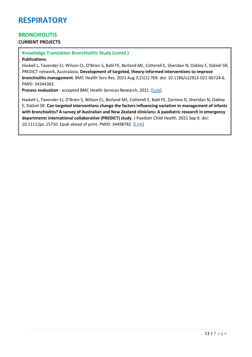### **BRONCHIOLITIS**

### **CURRENT PROJECTS**

### **Knowledge Translation Bronchiolitis Study (contd.)**

#### **Publications:**

Haskell L, Tavender EJ, Wilson CL, O'Brien S, Babl FE, Borland ML, Cotterell E, Sheridan N, Oakley E, Dalziel SR; PREDICT network, Australasia. **Development of targeted, theory-informed interventions to improve bronchiolitis management**. BMC Health Serv Res. 2021 Aug 3;21(1):769. doi: 10.1186/s12913-021-06724-6. PMID: 34344383.

**Process evaluation** - accepted BMC Health Services Research, 2021. [\[Link\]](https://pubmed.ncbi.nlm.nih.gov/34344383/)

Haskell L, Tavender EJ, O'Brien S, Wilson CL, Borland ML, Cotterell E, Babl FE, Zannino D, Sheridan N, Oakley E, Dalziel SR. **Can targeted interventions change the factors influencing variation in management of infants with bronchiolitis? A survey of Australian and New Zealand clinicians: A paediatric research in emergency departments international collaborative (PREDICT) study**. J Paediatr Child Health. 2021 Sep 9. doi: 10.1111/jpc.15710. Epub ahead of print. PMID: 34498782. [\[Link}](https://pubmed.ncbi.nlm.nih.gov/34498782/)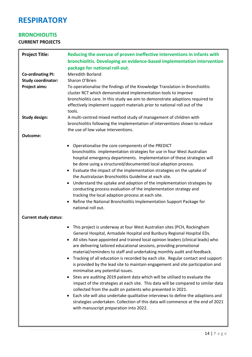## **BRONCHIOLITIS**

| <b>Project Title:</b><br><b>Co-ordinating PI:</b><br><b>Study coordinator:</b><br><b>Project aims:</b><br><b>Study design:</b> | Reducing the overuse of proven ineffective interventions in infants with<br>bronchiolitis. Developing an evidence-based implementation intervention<br>package for national roll-out.<br>Meredith Borland<br>Sharon O'Brien<br>To operationalise the findings of the Knowledge Translation in Bronchiolitis<br>cluster RCT which demonstrated implementation tools to improve<br>bronchiolitis care. In this study we aim to demonstrate adaptions required to<br>effectively implement support materials prior to national roll out of the<br>tools.<br>A multi-centred mixed method study of management of children with<br>bronchiolitis following the implementation of interventions shown to reduce                                                                                                                                                                                                                                                                                                                                                                 |
|--------------------------------------------------------------------------------------------------------------------------------|---------------------------------------------------------------------------------------------------------------------------------------------------------------------------------------------------------------------------------------------------------------------------------------------------------------------------------------------------------------------------------------------------------------------------------------------------------------------------------------------------------------------------------------------------------------------------------------------------------------------------------------------------------------------------------------------------------------------------------------------------------------------------------------------------------------------------------------------------------------------------------------------------------------------------------------------------------------------------------------------------------------------------------------------------------------------------|
| Outcome:                                                                                                                       | the use of low value interventions.                                                                                                                                                                                                                                                                                                                                                                                                                                                                                                                                                                                                                                                                                                                                                                                                                                                                                                                                                                                                                                       |
|                                                                                                                                | Operationalise the core components of the PREDICT<br>$\bullet$<br>bronchiolitis implementation strategies for use in four West Australian                                                                                                                                                                                                                                                                                                                                                                                                                                                                                                                                                                                                                                                                                                                                                                                                                                                                                                                                 |
|                                                                                                                                | hospital emergency departments. Implementation of these strategies will<br>be done using a structured/documented local adaption process.<br>Evaluate the impact of the implementation strategies on the uptake of<br>$\bullet$<br>the Australasian Bronchiolitis Guideline at each site.<br>Understand the uptake and adaption of the implementation strategies by<br>٠<br>conducting process evaluation of the implementation strategy and<br>tracking the local adaption process at each site.<br>Refine the National Bronchiolitis Implementation Support Package for<br>$\bullet$<br>national roll out.                                                                                                                                                                                                                                                                                                                                                                                                                                                               |
| <b>Current study status:</b>                                                                                                   |                                                                                                                                                                                                                                                                                                                                                                                                                                                                                                                                                                                                                                                                                                                                                                                                                                                                                                                                                                                                                                                                           |
|                                                                                                                                | • This project is underway at four West Australian sites (PCH, Rockingham<br>General Hospital, Armadale Hospital and Bunbury Regional Hospital EDs.<br>• All sites have appointed and trained local opinion leaders (clinical leads) who<br>are delivering tailored educational sessions, providing promotional<br>material/reminders to staff and undertaking monthly audit and feedback.<br>Tracking of all education is recorded by each site. Regular contact and support<br>is provided by the lead site to maintain engagement and site participation and<br>minimalise any potential issues.<br>Sites are auditing 2019 patient data which will be utilised to evaluate the<br>٠<br>impact of the strategies at each site. This data will be compared to similar data<br>collected from the audit on patients who presented in 2021.<br>Each site will also undertake qualitative interviews to define the adaptions and<br>$\bullet$<br>strategies undertaken. Collection of this data will commence at the end of 2021<br>with manuscript preparation into 2022. |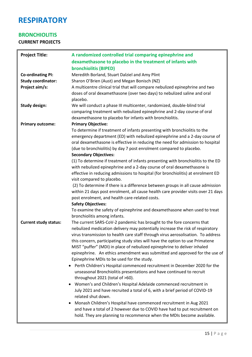### **BRONCHIOLITIS**

| <b>Project Title:</b>        | A randomized controlled trial comparing epinephrine and                                                                                                                                                                |
|------------------------------|------------------------------------------------------------------------------------------------------------------------------------------------------------------------------------------------------------------------|
|                              | dexamethasone to placebo in the treatment of infants with                                                                                                                                                              |
|                              | bronchiolitis (BIPED)                                                                                                                                                                                                  |
| <b>Co-ordinating PI:</b>     | Meredith Borland, Stuart Dalziel and Amy Plint                                                                                                                                                                         |
| <b>Study coordinator:</b>    | Sharon O'Brien (Aust) and Megan Bonisch (NZ)                                                                                                                                                                           |
| Project aim/s:               | A multicentre clinical trial that will compare nebulized epinephrine and two<br>doses of oral dexamethasone (over two days) to nebulized saline and oral<br>placebo.                                                   |
| <b>Study design:</b>         | We will conduct a phase III multicenter, randomized, double-blind trial<br>comparing treatment with nebulized epinephrine and 2-day course of oral<br>dexamethasone to placebo for infants with bronchiolitis.         |
| <b>Primary outcome:</b>      | <b>Primary Objective:</b>                                                                                                                                                                                              |
|                              | To determine if treatment of infants presenting with bronchiolitis to the<br>emergency department (ED) with nebulized epinephrine and a 2-day course of                                                                |
|                              | oral dexamethasone is effective in reducing the need for admission to hospital<br>(due to bronchiolitis) by day 7 post enrolment compared to placebo.<br><b>Secondary Objectives:</b>                                  |
|                              | (1) To determine if treatment of infants presenting with bronchiolitis to the ED<br>with nebulized epinephrine and a 2-day course of oral dexamethasone is                                                             |
|                              | effective in reducing admissions to hospital (for bronchiolitis) at enrolment ED<br>visit compared to placebo.                                                                                                         |
|                              | (2) To determine if there is a difference between groups in all cause admission<br>within 21 days post enrolment, all cause health care provider visits over 21 days<br>post enrolment, and health care-related costs. |
|                              | <b>Safety Objectives:</b>                                                                                                                                                                                              |
|                              | To examine the safety of epinephrine and dexamethasone when used to treat<br>bronchiolitis among infants.                                                                                                              |
| <b>Current study status:</b> | The current SARS-CoV-2 pandemic has brought to the fore concerns that                                                                                                                                                  |
|                              | nebulized medication delivery may potentially increase the risk of respiratory                                                                                                                                         |
|                              | virus transmission to health care staff through virus aerosolisation. To address<br>this concern, participating study sites will have the option to use Primatene                                                      |
|                              | MIST "puffer" (MDI) in place of nebulized epinephrine to deliver inhaled                                                                                                                                               |
|                              | epinephrine. An ethics amendment was submitted and approved for the use of<br>Epinephrine MDIs to be used for the study.                                                                                               |
|                              | Perth Children's Hospital commenced recruitment in December 2020 for the<br>unseasonal Bronchiolitis presentations and have continued to recruit<br>throughout 2021 (total of >60).                                    |
|                              | Women's and Children's Hospital Adelaide commenced recruitment in<br>٠<br>July 2021 and have recruited a total of 6, with a brief period of COVID-19<br>related shut down.                                             |
|                              | Monash Children's Hospital have commenced recruitment in Aug 2021                                                                                                                                                      |
|                              | and have a total of 2 however due to COVID have had to put recruitment on                                                                                                                                              |
|                              | hold. They are planning to recommence when the MDIs become available.                                                                                                                                                  |
|                              |                                                                                                                                                                                                                        |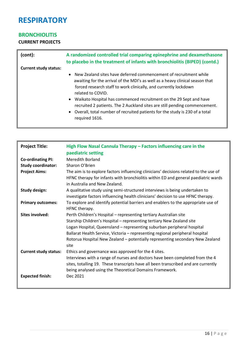### **BRONCHIOLITIS**

| (cont):<br><b>Current study status:</b> | A randomized controlled trial comparing epinephrine and dexamethasone<br>to placebo in the treatment of infants with bronchiolitis (BIPED) (contd.)                                                                                                                                                                                                                                                                                                                                                                                     |
|-----------------------------------------|-----------------------------------------------------------------------------------------------------------------------------------------------------------------------------------------------------------------------------------------------------------------------------------------------------------------------------------------------------------------------------------------------------------------------------------------------------------------------------------------------------------------------------------------|
|                                         |                                                                                                                                                                                                                                                                                                                                                                                                                                                                                                                                         |
|                                         | New Zealand sites have deferred commencement of recruitment while<br>$\bullet$<br>awaiting for the arrival of the MDI's as well as a heavy clinical season that<br>forced research staff to work clinically, and currently lockdown<br>related to COVID.<br>Waikato Hospital has commenced recruitment on the 29 Sept and have<br>$\bullet$<br>recruited 2 patients. The 2 Auckland sites are still pending commencement.<br>Overall, total number of recruited patients for the study is 230 of a total<br>$\bullet$<br>required 1616. |

| <b>Project Title:</b>        | High Flow Nasal Cannula Therapy – Factors influencing care in the                                                   |
|------------------------------|---------------------------------------------------------------------------------------------------------------------|
|                              | paediatric setting                                                                                                  |
| <b>Co-ordinating PI:</b>     | <b>Meredith Borland</b>                                                                                             |
| <b>Study coordinator:</b>    | Sharon O'Brien                                                                                                      |
| <b>Project Aims:</b>         | The aim is to explore factors influencing clinicians' decisions related to the use of                               |
|                              | HFNC therapy for infants with bronchiolitis within ED and general paediatric wards<br>in Australia and New Zealand. |
| <b>Study design:</b>         | A qualitative study using semi-structured interviews is being undertaken to                                         |
|                              | investigate factors influencing health clinicians' decision to use HFNC therapy.                                    |
| <b>Primary outcomes:</b>     | To explore and identify potential barriers and enablers to the appropriate use of                                   |
|                              | HFNC therapy.                                                                                                       |
| <b>Sites involved:</b>       | Perth Children's Hospital - representing tertiary Australian site                                                   |
|                              | Starship Children's Hospital - representing tertiary New Zealand site                                               |
|                              | Logan Hospital, Queensland - representing suburban peripheral hospital                                              |
|                              | Ballarat Health Service, Victoria - representing regional peripheral hospital                                       |
|                              | Rotorua Hospital New Zealand – potentially representing secondary New Zealand<br>site                               |
| <b>Current study status:</b> | Ethics and governance was approved for the 4 sites.                                                                 |
|                              | Interviews with a range of nurses and doctors have been completed from the 4                                        |
|                              | sites, totalling 19. These transcripts have all been transcribed and are currently                                  |
|                              | being analysed using the Theoretical Domains Framework.                                                             |
| <b>Expected finish:</b>      | Dec 2021                                                                                                            |
|                              |                                                                                                                     |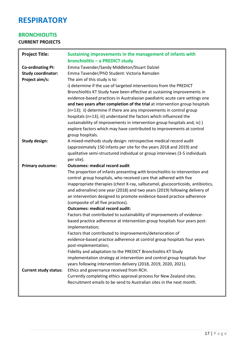### **BRONCHIOLITIS**

| <b>Project Title:</b>                                                   | Sustaining improvements in the management of infants with<br>bronchiolitis - a PREDICT study                                                                                                                                                                                                                                                                                                                                                                                                                                                                                                                                                                                                                                                                                                                                                                                                                                                                                                                                                                                   |
|-------------------------------------------------------------------------|--------------------------------------------------------------------------------------------------------------------------------------------------------------------------------------------------------------------------------------------------------------------------------------------------------------------------------------------------------------------------------------------------------------------------------------------------------------------------------------------------------------------------------------------------------------------------------------------------------------------------------------------------------------------------------------------------------------------------------------------------------------------------------------------------------------------------------------------------------------------------------------------------------------------------------------------------------------------------------------------------------------------------------------------------------------------------------|
| <b>Co-ordinating PI:</b><br><b>Study coordinator:</b><br>Project aim/s: | Emma Tavender/Sandy Middleton/Stuart Dalziel<br>Emma Tavender/PhD Student: Victoria Ramsden<br>The aim of this study is to:<br>i) determine if the use of targeted interventions from the PREDICT<br>Bronchiolitis KT Study have been effective at sustaining improvements in<br>evidence-based practices in Australasian paediatric acute care settings one<br>and two years after completion of the trial at intervention group hospitals<br>(n=13); ii) determine if there are any improvements in control group<br>hospitals (n=13); iii) understand the factors which influenced the<br>sustainability of improvements in intervention group hospitals and; iv) )<br>explore factors which may have contributed to improvements at control                                                                                                                                                                                                                                                                                                                                |
| <b>Study design:</b>                                                    | group hospitals.<br>A mixed-methods study design: retrospective medical record audit<br>(approximately 150 infants per site for the years 2018 and 2019) and<br>qualitative semi-structured individual or group interviews (3-5 individuals<br>per site).                                                                                                                                                                                                                                                                                                                                                                                                                                                                                                                                                                                                                                                                                                                                                                                                                      |
| <b>Primary outcome:</b>                                                 | <b>Outcomes: medical record audit</b><br>The proportion of infants presenting with bronchiolitis to intervention and<br>control group hospitals, who received care that adhered with five<br>inappropriate therapies (chest X-ray, salbutamol, glucocorticoids, antibiotics,<br>and adrenaline) one year (2018) and two years (2019) following delivery of<br>an intervention designed to promote evidence-based practice adherence<br>(composite of all five practices).<br><b>Outcomes: medical record audit:</b><br>Factors that contributed to sustainability of improvements of evidence-<br>based practice adherence at intervention group hospitals four years post-<br>implementation;<br>Factors that contributed to improvements/deterioration of<br>evidence-based practice adherence at control group hospitals four years<br>post-implementation;<br>Fidelity and adaptation to the PREDICT Bronchiolitis KT Study<br>implementation strategy at intervention and control group hospitals four<br>years following intervention delivery (2018, 2019, 2020, 2021). |
| <b>Current study status:</b>                                            | Ethics and governance received from RCH.<br>Currently completing ethics approval process for New Zealand sites.<br>Recruitment emails to be send to Australian sites in the next month.                                                                                                                                                                                                                                                                                                                                                                                                                                                                                                                                                                                                                                                                                                                                                                                                                                                                                        |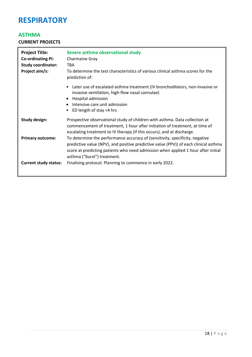# **ASTHMA**

| <b>Project Title:</b><br><b>Co-ordinating PI:</b><br><b>Study coordinator:</b><br>Project aim/s: | Severe asthma observational study<br><b>Charmaine Gray</b><br><b>TBA</b><br>To determine the test characteristics of various clinical asthma scores for the<br>prediction of:                                                                                                            |
|--------------------------------------------------------------------------------------------------|------------------------------------------------------------------------------------------------------------------------------------------------------------------------------------------------------------------------------------------------------------------------------------------|
|                                                                                                  | • Later use of escalated asthma treatment (IV bronchodilators, non-invasive or<br>invasive ventilation, high-flow nasal cannulae)<br>• Hospital admission<br>Intensive care unit admission<br>$\bullet$<br>ED length of stay <4 hrs                                                      |
| <b>Study design:</b>                                                                             | Prospective observational study of children with asthma. Data collection at<br>commencement of treatment, 1 hour after initiation of treatment, at time of<br>escalating treatment to IV therapy (if this occurs), and at discharge.                                                     |
| <b>Primary outcome:</b>                                                                          | To determine the performance accuracy of (sensitivity, specificity, negative<br>predictive value (NPV), and positive predictive value (PPV)) of each clinical asthma<br>score at predicting patients who need admission when applied 1 hour after initial<br>asthma ("burst") treatment. |
| <b>Current study status:</b>                                                                     | Finalising protocol. Planning to commence in early 2022.                                                                                                                                                                                                                                 |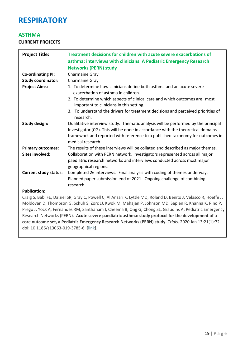# **ASTHMA**

**CURRENT PROJECTS**

| <b>Project Title:</b>        | Treatment decisions for children with acute severe exacerbations of<br>asthma: interviews with clinicians: A Pediatric Emergency Research<br><b>Networks (PERN) study</b>                                                                                                  |
|------------------------------|----------------------------------------------------------------------------------------------------------------------------------------------------------------------------------------------------------------------------------------------------------------------------|
|                              |                                                                                                                                                                                                                                                                            |
| <b>Co-ordinating PI:</b>     | Charmaine Gray                                                                                                                                                                                                                                                             |
| <b>Study coordinator:</b>    | Charmaine Gray                                                                                                                                                                                                                                                             |
| <b>Project Aims:</b>         | 1. To determine how clinicians define both asthma and an acute severe<br>exacerbation of asthma in children.                                                                                                                                                               |
|                              | 2. To determine which aspects of clinical care and which outcomes are most<br>important to clinicians in this setting.                                                                                                                                                     |
|                              | 3. To understand the drivers for treatment decisions and perceived priorities of<br>research.                                                                                                                                                                              |
| <b>Study design:</b>         | Qualitative interview study. Thematic analysis will be performed by the principal<br>Investigator (CG). This will be done in accordance with the theoretical domains<br>framework and reported with reference to a published taxonomy for outcomes in<br>medical research. |
| <b>Primary outcomes:</b>     | The results of these interviews will be collated and described as major themes.                                                                                                                                                                                            |
| <b>Sites involved:</b>       | Collaboration with PERN network. Investigators represented across all major<br>paediatric research networks and interviews conducted across most major<br>geographical regions.                                                                                            |
| <b>Current study status:</b> | Completed 26 interviews. Final analysis with coding of themes underway.                                                                                                                                                                                                    |
|                              | Planned paper submission end of 2021. Ongoing challenge of combining                                                                                                                                                                                                       |
|                              | research.                                                                                                                                                                                                                                                                  |
| <b>Publication:</b>          |                                                                                                                                                                                                                                                                            |

#### **Publication:**

Craig S, Babl FE, Dalziel SR, Gray C, Powell C, Al Ansari K, Lyttle MD, Roland D, Benito J, Velasco R, Hoeffe J, Moldovan D, Thompson G, Schuh S, Zorc JJ, Kwok M, Mahajan P, Johnson MD, Sapien R, Khanna K, Rino P, Prego J, Yock A, Fernandes RM, Santhanam I, Cheema B, Ong G, Chong SL, Graudins A; Pediatric Emergency Research Networks (PERN). **Acute severe paediatric asthma: study protocol for the development of a core outcome set, a Pediatric Emergency Research Networks (PERN) study.** *Trials*. 2020 Jan 13;21(1):72. doi: 10.1186/s13063-019-3785-6. [\[link\]](https://www.ncbi.nlm.nih.gov/pubmed/31931862).

**Anticipated papers:** Qualitative paper describing above findings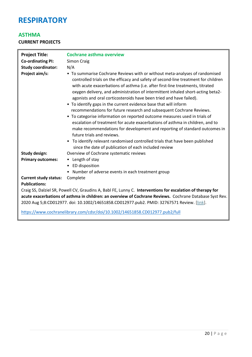# **ASTHMA**

### **CURRENT PROJECTS**

| <b>Project Title:</b><br><b>Co-ordinating PI:</b><br><b>Study coordinator:</b><br>Project aim/s: | <b>Cochrane asthma overview</b><br><b>Simon Craig</b><br>N/A<br>• To summarise Cochrane Reviews with or without meta-analyses of randomised<br>controlled trials on the efficacy and safety of second-line treatment for children<br>with acute exacerbations of asthma (i.e. after first-line treatments, titrated<br>oxygen delivery, and administration of intermittent inhaled short-acting beta2-<br>agonists and oral corticosteroids have been tried and have failed).<br>• To identify gaps in the current evidence base that will inform<br>recommendations for future research and subsequent Cochrane Reviews.<br>• To categorise information on reported outcome measures used in trials of<br>escalation of treatment for acute exacerbations of asthma in children, and to<br>make recommendations for development and reporting of standard outcomes in<br>future trials and reviews.<br>• To identify relevant randomised controlled trials that have been published |
|--------------------------------------------------------------------------------------------------|--------------------------------------------------------------------------------------------------------------------------------------------------------------------------------------------------------------------------------------------------------------------------------------------------------------------------------------------------------------------------------------------------------------------------------------------------------------------------------------------------------------------------------------------------------------------------------------------------------------------------------------------------------------------------------------------------------------------------------------------------------------------------------------------------------------------------------------------------------------------------------------------------------------------------------------------------------------------------------------|
|                                                                                                  | since the date of publication of each included review                                                                                                                                                                                                                                                                                                                                                                                                                                                                                                                                                                                                                                                                                                                                                                                                                                                                                                                                |
| <b>Study design:</b>                                                                             | Overview of Cochrane systematic reviews                                                                                                                                                                                                                                                                                                                                                                                                                                                                                                                                                                                                                                                                                                                                                                                                                                                                                                                                              |
| <b>Primary outcomes:</b>                                                                         | • Length of stay                                                                                                                                                                                                                                                                                                                                                                                                                                                                                                                                                                                                                                                                                                                                                                                                                                                                                                                                                                     |
|                                                                                                  | ED disposition<br>$\bullet$                                                                                                                                                                                                                                                                                                                                                                                                                                                                                                                                                                                                                                                                                                                                                                                                                                                                                                                                                          |
|                                                                                                  | • Number of adverse events in each treatment group                                                                                                                                                                                                                                                                                                                                                                                                                                                                                                                                                                                                                                                                                                                                                                                                                                                                                                                                   |
| <b>Current study status:</b>                                                                     | Complete                                                                                                                                                                                                                                                                                                                                                                                                                                                                                                                                                                                                                                                                                                                                                                                                                                                                                                                                                                             |
| <b>Publications:</b>                                                                             |                                                                                                                                                                                                                                                                                                                                                                                                                                                                                                                                                                                                                                                                                                                                                                                                                                                                                                                                                                                      |
|                                                                                                  | Craig SS, Dalziel SR, Powell CV, Graudins A, Babl FE, Lunny C. Interventions for escalation of therapy for<br>acute exacerbations of asthma in children: an overview of Cochrane Reviews. Cochrane Database Syst Rev.<br>2020 Aug 5;8:CD012977. doi: 10.1002/14651858.CD012977.pub2. PMID: 32767571 Review. [link].                                                                                                                                                                                                                                                                                                                                                                                                                                                                                                                                                                                                                                                                  |

<https://www.cochranelibrary.com/cdsr/doi/10.1002/14651858.CD012977.pub2/full>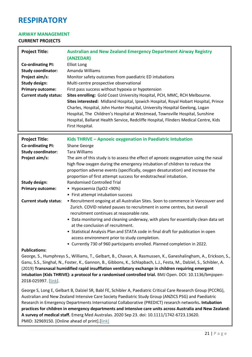#### **AIRWAY MANAGEMENT**

#### **CURRENT PROJECTS**

| <b>Australian and New Zealand Emergency Department Airway Registry</b><br>(ANZEDAR)                                                                                                                                                                                                                                                                           |
|---------------------------------------------------------------------------------------------------------------------------------------------------------------------------------------------------------------------------------------------------------------------------------------------------------------------------------------------------------------|
| Elliot Long                                                                                                                                                                                                                                                                                                                                                   |
| Amanda Williams                                                                                                                                                                                                                                                                                                                                               |
| Monitor safety outcomes from paediatric ED intubations                                                                                                                                                                                                                                                                                                        |
| Multi-centre prospective observational                                                                                                                                                                                                                                                                                                                        |
| First pass success without hypoxia or hypotension                                                                                                                                                                                                                                                                                                             |
| Sites enrolling: Gold Coast University Hospital, PCH, MMC, RCH Melbourne.                                                                                                                                                                                                                                                                                     |
| Sites interested: Midland Hospital, Ipswich Hospital, Royal Hobart Hospital, Prince<br>Charles, Hospital, John Hunter Hospital, University Hospital Geelong, Logan<br>Hospital, The Children's Hospital at Westmead, Townsville Hospital, Sunshine<br>Hospital, Ballarat Health Service, Redcliffe Hospital, Flinders Medical Centre, Kids<br>First Hospital. |
|                                                                                                                                                                                                                                                                                                                                                               |

| <b>Project Title:</b>        | Kids THRIVE - Apnoeic oxygenation in Paediatric Intubation                                                                                                                                                                                                                                                               |
|------------------------------|--------------------------------------------------------------------------------------------------------------------------------------------------------------------------------------------------------------------------------------------------------------------------------------------------------------------------|
| <b>Co-ordinating PI:</b>     | Shane George                                                                                                                                                                                                                                                                                                             |
| <b>Study coordinator:</b>    | Tara Williams                                                                                                                                                                                                                                                                                                            |
| Project aim/s:               | The aim of this study is to assess the effect of apnoeic oxygenation using the nasal<br>high flow oxygen during the emergency intubation of children to reduce the<br>proportion adverse events (specifically, oxygen desaturation) and increase the<br>proportion of first attempt success for endotracheal intubation. |
| <b>Study design:</b>         | <b>Randomised Controlled Trial</b>                                                                                                                                                                                                                                                                                       |
| <b>Primary outcome:</b>      | • Hypoxaemia (SpO2 <90%)                                                                                                                                                                                                                                                                                                 |
|                              | • First attempt intubation success                                                                                                                                                                                                                                                                                       |
| <b>Current study status:</b> | • Recruitment ongoing at all Australian Sites. Soon to commence in Vancouver and<br>Zurich. COVID related pauses to recruitment in some centres, but overall<br>recruitment continues at reasonable rate.                                                                                                                |
|                              | • Data monitoring and cleaning underway, with plans for essentially clean data set<br>at the conclusion of recruitment.                                                                                                                                                                                                  |
|                              | • Statistical Analysis Plan and STATA code in final draft for publication in open<br>access environment prior to study completion.                                                                                                                                                                                       |
|                              | • Currently 730 of 960 participants enrolled. Planned completion in 2022.                                                                                                                                                                                                                                                |
| <b>Publications:</b>         |                                                                                                                                                                                                                                                                                                                          |
|                              | Caesar C. Humphroug Millians T. Calleget D. Chains A. Daonusach V. Canachalingham A. Frielman C.                                                                                                                                                                                                                         |

George, S., Humphreys S., Williams, T., Gelbart, B., Chavan, A. Rasmussen, K., Ganeshalingham, A., Erickson, S., Ganu, S.S., Singhal, N., Foster, K., Gannon, B., Gibbons, K., Schlapbach, L.J., Festa, M., Dalziel, S., Schibler, A. (2019) **Transnasal humidified rapid insufflation ventilatory exchange in children requiring emergent intubation (Kids THRIVE): a protocol for a randomised controlled trial.** BMJ Open. DOI: 10.1136/bmjopen-2018-025997. [\[link\]](https://www.ncbi.nlm.nih.gov/pubmed/?term=transnasal+humidified+rapid+insufflation+ventilatory+exchange+in+children+requiring+emergent+intubation).

George S, Long E, Gelbart B, Dalziel SR, Babl FE, Schibler A, Paediatric Critical Care Research Group (PCCRG), Australian and New Zealand Intensive Care Society Paediatric Study Group (ANZICS PSG) and Paediatric Research in Emergency Departments International Collaborative (PREDICT) research networks**. Intubation practices for children in emergency departments and intensive care units across Australia and New Zealand: A survey of medical staff.** Emerg Med Australas. 2020 Sep 23. doi: 10.1111/1742-6723.13620. PMID: 32969150. [Online ahead of print].[\[link\]](https://pubmed.ncbi.nlm.nih.gov/32969150/)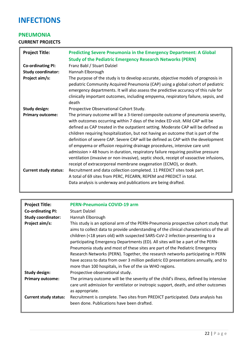### <span id="page-22-0"></span>**PNEUMONIA**

| <b>Project Title:</b>                                                           | <b>Predicting Severe Pneumonia in the Emergency Department: A Global</b><br><b>Study of the Pediatric Emergency Research Networks (PERN)</b>                                                                                                                                                                                                                                                                                                                                                                                                                                                                                                                                                                                                                                                                                                                                                                                                              |
|---------------------------------------------------------------------------------|-----------------------------------------------------------------------------------------------------------------------------------------------------------------------------------------------------------------------------------------------------------------------------------------------------------------------------------------------------------------------------------------------------------------------------------------------------------------------------------------------------------------------------------------------------------------------------------------------------------------------------------------------------------------------------------------------------------------------------------------------------------------------------------------------------------------------------------------------------------------------------------------------------------------------------------------------------------|
| <b>Co-ordinating PI:</b><br><b>Study coordinator:</b><br>Project aim/s:         | Franz Babl / Stuart Dalziel<br>Hannah Elborough<br>The purpose of the study is to develop accurate, objective models of prognosis in<br>pediatric Community Acquired Pneumonia (CAP) using a global cohort of pediatric<br>emergency departments. It will also assess the predictive accuracy of this rule for<br>clinically important outcomes, including empyema, respiratory failure, sepsis, and<br>death                                                                                                                                                                                                                                                                                                                                                                                                                                                                                                                                             |
| <b>Study design:</b><br><b>Primary outcome:</b><br><b>Current study status:</b> | Prospective Observational Cohort Study.<br>The primary outcome will be a 3-tiered composite outcome of pneumonia severity,<br>with outcomes occurring within 7 days of the index ED visit. Mild CAP will be<br>defined as CAP treated in the outpatient setting. Moderate CAP will be defined as<br>children requiring hospitalization, but not having an outcome that is part of the<br>definition of severe CAP. Severe CAP will be defined as CAP with the development<br>of empyema or effusion requiring drainage procedures, intensive care unit<br>admission > 48 hours in duration, respiratory failure requiring positive pressure<br>ventilation (invasive or non-invasive), septic shock, receipt of vasoactive infusions,<br>receipt of extracorporeal membrane oxygenation (ECMO), or death.<br>Recruitment and data collection completed. 11 PREDICT sites took part.<br>A total of 69 sites from PERC, PECARN, REPEM and PREDICT in total. |

| <b>Project Title:</b><br><b>Co-ordinating PI:</b><br><b>Study coordinator:</b><br>Project aim/s: | <b>PERN-Pneumonia COVID-19 arm</b><br><b>Stuart Dalziel</b><br>Hannah Elborough<br>This study is an optional arm of the PERN-Pneumonia prospective cohort study that<br>aims to collect data to provide understanding of the clinical characteristics of the all<br>children (<18 years old) with suspected SARS-CoV-2 infection presenting to a<br>participating Emergency Departments (ED). All sites will be a part of the PERN-<br>Pneumonia study and most of these sites are part of the Pediatric Emergency<br>Research Networks (PERN). Together, the research networks participating in PERN<br>have access to data from over 3 million pediatric ED presentations annually, and to<br>more than 100 hospitals, in five of the six WHO regions. |
|--------------------------------------------------------------------------------------------------|----------------------------------------------------------------------------------------------------------------------------------------------------------------------------------------------------------------------------------------------------------------------------------------------------------------------------------------------------------------------------------------------------------------------------------------------------------------------------------------------------------------------------------------------------------------------------------------------------------------------------------------------------------------------------------------------------------------------------------------------------------|
| Study design:<br><b>Primary outcome:</b><br><b>Current study status:</b>                         | Prospective observational study.<br>The primary outcome will be the severity of the child's illness, defined by intensive<br>care unit admission for ventilator or inotropic support, death, and other outcomes<br>as appropriate.<br>Recruitment is complete. Two sites from PREDICT participated. Data analysis has                                                                                                                                                                                                                                                                                                                                                                                                                                    |
|                                                                                                  | been done. Publications have been drafted.                                                                                                                                                                                                                                                                                                                                                                                                                                                                                                                                                                                                                                                                                                               |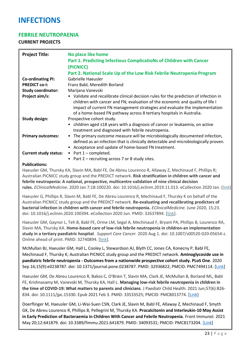# **FEBRILE NEUTROPAENIA**

### **CURRENT PROJECTS**

| <b>Project Title:</b>        | No place like home                                                                                                                                                                                                                                                                                                           |
|------------------------------|------------------------------------------------------------------------------------------------------------------------------------------------------------------------------------------------------------------------------------------------------------------------------------------------------------------------------|
|                              | Part 1. Predicting Infectious ComplicatioNs of Children with Cancer                                                                                                                                                                                                                                                          |
|                              | (PICNICC)                                                                                                                                                                                                                                                                                                                    |
|                              | Part 2. National Scale Up of the Low Risk Febrile Neutropenia Program                                                                                                                                                                                                                                                        |
| <b>Co-ordinating PI:</b>     | Gabrielle Haeusler                                                                                                                                                                                                                                                                                                           |
| <b>PREDICT co-I:</b>         | Franz Babl, Meredith Borland                                                                                                                                                                                                                                                                                                 |
| <b>Study coordinator:</b>    | Marijana Vanevski                                                                                                                                                                                                                                                                                                            |
| Project aim/s:               | • Validate and recalibrate clinical decision rules for the prediction of infection in<br>children with cancer and FN; evaluation of the economic and quality of life I<br>impact of current FN management strategies and evaluate the implementation<br>of a home-based FN pathway across 8 tertiary hospitals in Australia. |
| <b>Study design:</b>         | Prospective cohort study.                                                                                                                                                                                                                                                                                                    |
|                              | • children aged $\leq$ 18 years with a diagnosis of cancer or leukaemia, on active<br>treatment and diagnosed with febrile neutropenia.                                                                                                                                                                                      |
| <b>Primary outcomes:</b>     | • The primary outcome measure will be microbiologically documented infection,                                                                                                                                                                                                                                                |
|                              | defined as an infection that is clinically detectable and microbiologically proven.                                                                                                                                                                                                                                          |
|                              | Acceptance and update of home-based FN treatment.                                                                                                                                                                                                                                                                            |
| <b>Current study status:</b> | • Part $1$ – completed.                                                                                                                                                                                                                                                                                                      |
|                              | • Part $2$ – recruiting across 7 or 8 study sites.                                                                                                                                                                                                                                                                           |

### **Publications:**

Haeusler GM, Thursky KA, Slavin MA, Babl FE, De Abreu Lourenco R, Allaway Z, Mechinaud F, Phillips R; Australian PICNICC study group and the PREDICT network. **Risk stratification in children with cancer and febrile neutropenia: A national, prospective, multicentre validation of nine clinical decision rules.** *EClinicalMedicine*. 2020 Jan 7;18:100220. doi: 10.1016/j.eclinm.2019.11.013. eCollection 2020 Jan. [\[link\]](https://www.ncbi.nlm.nih.gov/pubmed/31993576).

Haeusler G, Phillips R, Slavin M, Babl FE, De Abreu Lourenco R, Mechinaud F, Thursky K on behalf of the Australian PICNICC study group and the PREDICT network. **Re-evaluating and recalibrating predictors of bacterial infection in children with cancer and febrile neutropenia.** *EClinicalMedicine.* June 2020, 15;23. doi: 10.1016/j.eclinm.2020.100394. eCollection 2020 Jun. PMID: 32637894. [\[link\]](https://pubmed.ncbi.nlm.nih.gov/32637894/).

Haeusler GM, Gaynor L, Teh B, Babl FE, Orme LM, Segal A, Mechinaud F, Bryant PA, Phillips B, Lourenco RA, Slavin MA, Thursky KA. **Home-based care of low-risk febrile neutropenia in children-an implementation study in a tertiary paediatric hospital**. *Support Care Cancer.* 2020 Aug 1. doi: 10.1007/s00520-020-05654-z. Online ahead of print. PMID: 32740894. [\[link\]](https://pubmed.ncbi.nlm.nih.gov/32740894/).

McMullan BJ, Haeusler GM, Hall L, Cooley L, Stewardson AJ, Blyth CC, Jones CA, Konecny P, Babl FE, Mechinaud F, Thursky K; Australian PICNICC study group and the PREDICT network. **Aminoglycoside use in paediatric febrile neutropenia - Outcomes from a nationwide prospective cohort study. PLoS One**. 2020 Sep 16;15(9):e0238787. doi: 10.1371/journal.pone.0238787. PMID: 32936822; PMCID: PMC7494114. [\[Link\]](https://pubmed.ncbi.nlm.nih.gov/32936822/)

Haeusler GM, De Abreu Lourenco R, Bakos C, O'Brien T, Slavin MA, Clark JE, McMullan B, Borland ML, Babl FE, Krishnasamy M, Vanevski M, Thursky KA, Hall L. **Managing low-risk febrile neutropenia in children in the time of COVID-19: What matters to parents and clinicians**. J Paediatr Child Health. 2021 Jun;57(6):826- 834. doi: 10.1111/jpc.15330. Epub 2021 Feb 3. PMID: 33533525; PMCID: PMC8013774. [\[Link\]](https://pubmed.ncbi.nlm.nih.gov/33533525/)

Doerflinger M, Haeusler GM, Li-Wai-Suen CSN, Clark JE, Slavin M, Babl FE, Allaway Z, Mechinaud F, Smyth GK, De Abreu Lourenco R, Phillips B, Pellegrini M, Thursky KA. **Procalcitonin and Interleukin-10 May Assist in Early Prediction of Bacteraemia in Children With Cancer and Febrile Neutropenia**. Front Immunol. 2021 May 20;12:641879. doi: 10.3389/fimmu.2021.641879. PMID: 34093531; PMCID: PMC8173204. [\[Link\]](https://pubmed.ncbi.nlm.nih.gov/34093531/)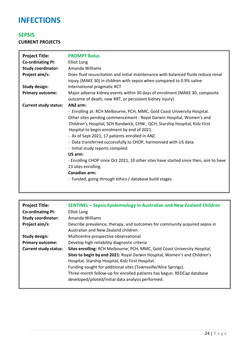# <span id="page-24-0"></span>**SEPSIS**

| <b>Project Title:</b>        | <b>PROMPT Bolus</b>                                                                                                                                         |
|------------------------------|-------------------------------------------------------------------------------------------------------------------------------------------------------------|
| <b>Co-ordinating PI:</b>     | <b>Elliot Long</b>                                                                                                                                          |
| <b>Study coordinator:</b>    | Amanda Williams                                                                                                                                             |
| Project aim/s:               | Does fluid resuscitation and initial maintenance with balanced fluids reduce renal<br>injury (MAKE 30) in children with sepsis when compared to 0.9% saline |
| <b>Study design:</b>         | International pragmatic RCT                                                                                                                                 |
| <b>Primary outcome:</b>      | Major adverse kidney events within 30 days of enrolment (MAKE 30; composite<br>outcome of death, new RRT, or persistent kidney injury)                      |
| <b>Current study status:</b> | ANZ arm:                                                                                                                                                    |
|                              | - Enrolling at: RCH Melbourne, PCH, MMC, Gold Coast University Hospital.                                                                                    |
|                              | Other sites pending commencement : Royal Darwin Hospital, Women's and                                                                                       |
|                              | Children's Hospital, SCH Randwick, CHW, QCH, Starship Hospital, Kidz First<br>Hospital to begin enrolment by end of 2021.                                   |
|                              | - As of Sept 2021, 17 patients enrolled in ANZ.                                                                                                             |
|                              | - Data transferred successfully to CHOP, harmonised with US data.                                                                                           |
|                              | - Initial study reports compiled.                                                                                                                           |
|                              | US arm:                                                                                                                                                     |
|                              | - Enrolling CHOP since Oct 2021, 10 other sites have started since then, aim to have                                                                        |
|                              | 23 sites enrolling.                                                                                                                                         |
|                              | Canadian arm:                                                                                                                                               |
|                              | - Funded, going through ethics / database build stages                                                                                                      |
|                              |                                                                                                                                                             |

| <b>Project Title:</b>        | SENTINEL - Sepsis Epidemiology in Australian and New Zealand Children                                                                                                                           |
|------------------------------|-------------------------------------------------------------------------------------------------------------------------------------------------------------------------------------------------|
| <b>Co-ordinating PI:</b>     | Elliot Long                                                                                                                                                                                     |
| <b>Study coordinator:</b>    | Amanda Williams                                                                                                                                                                                 |
| Project aim/s:               | Describe prevalence, therapy, and outcomes for community acquired sepsis in<br>Australian and New Zealand children.                                                                             |
| Study design:                | Multicentre prospective observational                                                                                                                                                           |
| <b>Primary outcome:</b>      | Develop high-reliability diagnostic criteria                                                                                                                                                    |
| <b>Current study status:</b> | Sites enrolling: RCH Melbourne, PCH, MMC, Gold Coast University Hospital.                                                                                                                       |
|                              | Sites to begin by end 2021: Royal Darwin Hospital, Women's and Children's<br>Hospital, Starship Hospital, Kidz First Hospital.                                                                  |
|                              | Funding sought for additional sites (Townsville/Alice Springs).<br>Three-month follow-up for enrolled patients has begun. REDCap database<br>developed/piloted/initial data analysis performed. |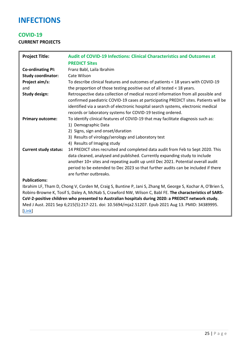## **COVID-19**

**CURRENT PROJECTS**

| <b>Project Title:</b>        | <b>Audit of COVID-19 Infections: Clinical Characteristics and Outcomes at</b>                                                                                                                                                                                                                                                                                    |
|------------------------------|------------------------------------------------------------------------------------------------------------------------------------------------------------------------------------------------------------------------------------------------------------------------------------------------------------------------------------------------------------------|
|                              | <b>PREDICT Sites</b>                                                                                                                                                                                                                                                                                                                                             |
| <b>Co-ordinating PI:</b>     | Franz Babl, Laila Ibrahim                                                                                                                                                                                                                                                                                                                                        |
| <b>Study coordinator:</b>    | Cate Wilson                                                                                                                                                                                                                                                                                                                                                      |
| Project aim/s:               | To describe clinical features and outcomes of patients < 18 years with COVID-19                                                                                                                                                                                                                                                                                  |
| and                          | the proportion of those testing positive out of all tested < 18 years.                                                                                                                                                                                                                                                                                           |
| <b>Study design:</b>         | Retrospective data collection of medical record information from all possible and<br>confirmed paediatric COVID-19 cases at participating PREDICT sites. Patients will be<br>identified via a search of electronic hospital search systems, electronic medical<br>records or laboratory systems for COVID-19 testing ordered.                                    |
| <b>Primary outcome:</b>      | To identify clinical features of COVID-19 that may facilitate diagnosis such as:                                                                                                                                                                                                                                                                                 |
|                              | 1) Demographic Data                                                                                                                                                                                                                                                                                                                                              |
|                              | 2) Signs, sign and onset/duration                                                                                                                                                                                                                                                                                                                                |
|                              | 3) Results of virology/serology and Laboratory test                                                                                                                                                                                                                                                                                                              |
|                              | 4) Results of Imaging study                                                                                                                                                                                                                                                                                                                                      |
| <b>Current study status:</b> | 14 PREDICT sites recruited and completed data audit from Feb to Sept 2020. This<br>data cleaned, analysed and published. Currently expanding study to include<br>another 10+ sites and repeating audit up until Dec 2021. Potential overall audit<br>period to be extended to Dec 2023 so that further audits can be included if there<br>are further outbreaks. |
| <b>Publications:</b>         |                                                                                                                                                                                                                                                                                                                                                                  |
|                              | Ibrahim LF, Tham D, Chong V, Corden M, Craig S, Buntine P, Jani S, Zhang M, George S, Kochar A, O'Brien S,                                                                                                                                                                                                                                                       |
|                              | Robins-Browne K, Tosif S, Daley A, McNab S, Crawford NW, Wilson C, Babl FE. The characteristics of SARS-                                                                                                                                                                                                                                                         |

**CoV-2-positive children who presented to Australian hospitals during 2020: a PREDICT network study.** Med J Aust. 2021 Sep 6;215(5):217-221. doi: 10.5694/mja2.51207. Epub 2021 Aug 13. PMID: 34389995. [\[Link\]](https://pubmed.ncbi.nlm.nih.gov/34389995/)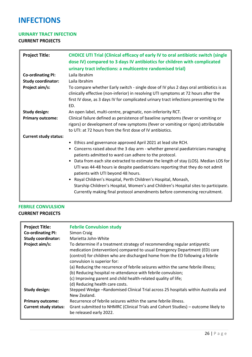### **URINARY TRACT INFECTION**

### **CURRENT PROJECTS**

| <b>Project Title:</b>        | <b>CHOICE UTI Trial (Clinical efficacy of early IV to oral antibiotic switch (single</b><br>dose IV) compared to 3 days IV antibiotics for children with complicated<br>urinary tract infections: a multicentre randomised trial)                                              |
|------------------------------|--------------------------------------------------------------------------------------------------------------------------------------------------------------------------------------------------------------------------------------------------------------------------------|
| <b>Co-ordinating PI:</b>     | Laila Ibrahim                                                                                                                                                                                                                                                                  |
| <b>Study coordinator:</b>    | Laila Ibrahim                                                                                                                                                                                                                                                                  |
| Project aim/s:               | To compare whether Early switch - single dose of IV plus 2 days oral antibiotics is as<br>clinically effective (non-inferior) in resolving UTI symptoms at 72 hours after the<br>first IV dose, as 3 days IV for complicated urinary tract infections presenting to the<br>ED. |
| <b>Study design:</b>         | An open label, multi-centre, pragmatic, non-inferiority RCT.                                                                                                                                                                                                                   |
| <b>Primary outcome:</b>      | Clinical failure defined as persistence of baseline symptoms (fever or vomiting or<br>rigors) or development of new symptoms (fever or vomiting or rigors) attributable<br>to UTI: at 72 hours from the first dose of IV antibiotics.                                          |
| <b>Current study status:</b> |                                                                                                                                                                                                                                                                                |
|                              | Ethics and governance approved April 2021 at lead site RCH.<br>٠                                                                                                                                                                                                               |
|                              | Concerns raised about the 3 day arm - whether general paediatricians managing<br>patients admitted to ward can adhere to the protocol.                                                                                                                                         |
|                              | Data from each site extracted to estimate the length of stay (LOS). Median LOS for<br>UTI was 44-48 hours ie despite paediatricians reporting that they do not admit<br>patients with UTI beyond 48 hours.                                                                     |
|                              | Royal Children's Hospital, Perth Children's Hospital, Monash,                                                                                                                                                                                                                  |
|                              | Starship Children's Hospital, Women's and Children's Hospital sites to participate.<br>Currently making final protocol amendments before commencing recruitment.                                                                                                               |
|                              |                                                                                                                                                                                                                                                                                |

### **FEBRILE CONVULSION CURRENT PROJECTS**

| <b>Project Title:</b><br><b>Co-ordinating PI:</b><br><b>Study coordinator:</b><br>Project aim/s: | <b>Febrile Convulsion study</b><br>Simon Craig<br>Marietta John-White<br>To determine if a treatment strategy of recommending regular antipyretic<br>medication (intervention) compared to usual Emergency Department (ED) care<br>(control) for children who are discharged home from the ED following a febrile<br>convulsion is superior for:<br>(a) Reducing the recurrence of febrile seizures within the same febrile illness;<br>(b) Reducing hospital re-attendance with febrile convulsion;<br>(c) Improving parent and child health-related quality of life;<br>(d) Reducing health care costs. |
|--------------------------------------------------------------------------------------------------|-----------------------------------------------------------------------------------------------------------------------------------------------------------------------------------------------------------------------------------------------------------------------------------------------------------------------------------------------------------------------------------------------------------------------------------------------------------------------------------------------------------------------------------------------------------------------------------------------------------|
| <b>Study design:</b>                                                                             | Stepped Wedge - Randomised Clinical Trial across 25 hospitals within Australia and<br>New Zealand.                                                                                                                                                                                                                                                                                                                                                                                                                                                                                                        |
| <b>Primary outcome:</b>                                                                          | Recurrence of febrile seizures within the same febrile illness.                                                                                                                                                                                                                                                                                                                                                                                                                                                                                                                                           |
| <b>Current study status:</b>                                                                     | Grant submitted to NHMRC (Clinical Trials and Cohort Studies) – outcome likely to<br>be released early 2022.                                                                                                                                                                                                                                                                                                                                                                                                                                                                                              |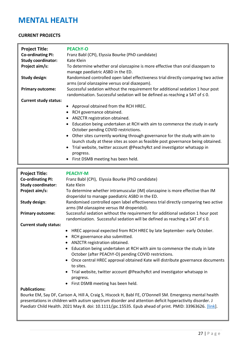# **MENTAL HEALTH**

### **CURRENT PROJECTS**

<span id="page-27-0"></span>

presentations in children with autism spectrum disorder and attention deficit hyperactivity disorder. J Paediatr Child Health. 2021 May 8. doi: 10.1111/jpc.15535. Epub ahead of print. PMID: 33963626[. \[link\]](file:///C:/Users/Catherine.wilson/AppData/Local/Microsoft/Windows/INetCache/Content.Outlook/ZQTEYY7S/Bourke%20EM,%20Say%20DF,%20Carison%20A,%20Hill%20A,%20Craig%20S,%20Hiscock%20H,%20Babl%20FE,%20O).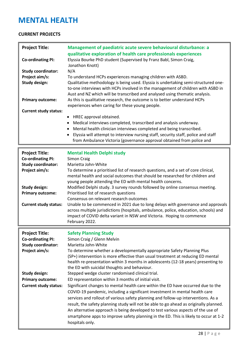# **MENTAL HEALTH**

| <b>Project Title:</b><br><b>Co-ordinating PI:</b><br><b>Study coordinator:</b><br>Project aim/s:<br><b>Study design:</b><br><b>Primary outcome:</b><br><b>Current study status:</b> | Management of paediatric acute severe behavioural disturbance: a<br>qualitative exploration of health care professionals experiences<br>Elyssia Bourke PhD student (Supervised by Franz Babl, Simon Craig,<br>Jonathon Knott)<br>N/A<br>To understand HCPs experiences managing children with ASBD.<br>Qualitative methodology is being used. Elyssia is undertaking semi-structured one-<br>to-one interviews with HCPs involved in the management of children with ASBD in<br>Aust and NZ which will be transcribed and analysed using thematic analysis.<br>As this is qualitative research, the outcome is to better understand HCPs<br>experiences when caring for these young people.<br>HREC approval obtained.<br>٠<br>Medical interviews completed, transcribed and analysis underway.<br>٠<br>Mental health clinician interviews completed and being transcribed.<br>Elyssia will attempt to interview nursing staff, security staff, police and staff<br>$\bullet$<br>from Ambulance Victoria (governance approval obtained from police and |
|-------------------------------------------------------------------------------------------------------------------------------------------------------------------------------------|--------------------------------------------------------------------------------------------------------------------------------------------------------------------------------------------------------------------------------------------------------------------------------------------------------------------------------------------------------------------------------------------------------------------------------------------------------------------------------------------------------------------------------------------------------------------------------------------------------------------------------------------------------------------------------------------------------------------------------------------------------------------------------------------------------------------------------------------------------------------------------------------------------------------------------------------------------------------------------------------------------------------------------------------------------|
| <b>Project Title:</b><br><b>Co-ordinating PI:</b><br><b>Study coordinator:</b><br>Project aim/s:<br><b>Study design:</b><br><b>Primary outcome:</b><br><b>Current study status:</b> | <b>Mental Health Delphi study</b><br><b>Simon Craig</b><br>Marietta John-White<br>To determine a prioritised list of research questions, and a set of core clinical,<br>mental health and social outcomes that should be researched for children and<br>young people attending the ED with mental health concerns.<br>Modified Delphi study. 3 survey rounds followed by online consensus meeting.<br>Prioritised list of research questions<br>Consensus on relevant research outcomes<br>Unable to be commenced in 2021 due to long delays with governance and approvals<br>across multiple jurisdictions (hospitals, ambulance, police, education, schools) and<br>impact of COVID delta variant in NSW and Victoria. Hoping to commence<br>February 2022.                                                                                                                                                                                                                                                                                          |
| <b>Project Title:</b><br><b>Co-ordinating PI:</b><br><b>Study coordinator:</b><br>Project aim/s:<br><b>Study design:</b><br><b>Primary outcome:</b><br><b>Current study status:</b> | <b>Safety Planning Study</b><br>Simon Craig / Glenn Melvin<br>Marietta John-White<br>To determine whether a developmentally appropriate Safety Planning Plus<br>(SP+) intervention is more effective than usual treatment at reducing ED mental<br>health re-presentation within 3 months in adolescents (12-18 years) presenting to<br>the ED with suicidal thoughts and behaviour.<br>Stepped wedge cluster randomised clinical trial.<br>ED representation within 3 months of initial visit.<br>Significant changes to mental health care within the ED have occurred due to the<br>COVID-19 pandemic, including a significant investment in mental health care<br>services and rollout of various safety planning and follow-up interventions. As a<br>result, the safety planning study will not be able to go ahead as originally planned.<br>An alternative approach is being developed to test various aspects of the use of<br>smartphone apps to improve safety planning in the ED. This is likely to occur at 1-2<br>hospitals only.        |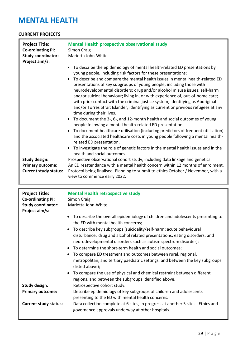# **MENTAL HEALTH**

| <b>Project Title:</b><br><b>Co-ordinating PI:</b><br><b>Study coordinator:</b><br>Project aim/s: | <b>Mental Health prospective observational study</b><br><b>Simon Craig</b><br>Marietta John-White<br>To describe the epidemiology of mental health-related ED presentations by<br>$\bullet$<br>young people, including risk factors for these presentations;<br>To describe and compare the mental health issues in mental health-related ED<br>$\bullet$<br>presentations of key subgroups of young people, including those with<br>neurodevelopmental disorders; drug and/or alcohol misuse issues; self-harm<br>and/or suicidal behaviour; living in, or with experience of, out-of-home care;<br>with prior contact with the criminal justice system; identifying as Aboriginal<br>and/or Torres Strait Islander; identifying as current or previous refugees at any<br>time during their lives.<br>To document the 3-, 6-, and 12-month health and social outcomes of young<br>$\bullet$<br>people following a mental health-related ED presentation;<br>To document healthcare utilisation (including predictors of frequent utilisation)<br>$\bullet$ |
|--------------------------------------------------------------------------------------------------|--------------------------------------------------------------------------------------------------------------------------------------------------------------------------------------------------------------------------------------------------------------------------------------------------------------------------------------------------------------------------------------------------------------------------------------------------------------------------------------------------------------------------------------------------------------------------------------------------------------------------------------------------------------------------------------------------------------------------------------------------------------------------------------------------------------------------------------------------------------------------------------------------------------------------------------------------------------------------------------------------------------------------------------------------------------|
| <b>Study design:</b><br><b>Primary outcome:</b><br><b>Current study status:</b>                  | and the associated healthcare costs in young people following a mental health-<br>related ED presentation.<br>To investigate the role of genetic factors in the mental health issues and in the<br>health and social outcomes.<br>Prospective observational cohort study, including data linkage and genetics.<br>An ED reattendance with a mental health concern within 12 months of enrolment.<br>Protocol being finalised. Planning to submit to ethics October / November, with a<br>view to commence early 2022.                                                                                                                                                                                                                                                                                                                                                                                                                                                                                                                                        |
|                                                                                                  |                                                                                                                                                                                                                                                                                                                                                                                                                                                                                                                                                                                                                                                                                                                                                                                                                                                                                                                                                                                                                                                              |
| <b>Project Title:</b>                                                                            | <b>Mental Health retrospective study</b>                                                                                                                                                                                                                                                                                                                                                                                                                                                                                                                                                                                                                                                                                                                                                                                                                                                                                                                                                                                                                     |
| <b>Co-ordinating PI:</b>                                                                         | Simon Craig                                                                                                                                                                                                                                                                                                                                                                                                                                                                                                                                                                                                                                                                                                                                                                                                                                                                                                                                                                                                                                                  |
| <b>Study coordinator:</b>                                                                        | Marietta John-White                                                                                                                                                                                                                                                                                                                                                                                                                                                                                                                                                                                                                                                                                                                                                                                                                                                                                                                                                                                                                                          |
| Project aim/s:                                                                                   | • To describe the overall epidemiology of children and adolescents presenting to                                                                                                                                                                                                                                                                                                                                                                                                                                                                                                                                                                                                                                                                                                                                                                                                                                                                                                                                                                             |
|                                                                                                  | the ED with mental health concerns;                                                                                                                                                                                                                                                                                                                                                                                                                                                                                                                                                                                                                                                                                                                                                                                                                                                                                                                                                                                                                          |
|                                                                                                  | To describe key subgroups (suicidality/self-harm; acute behavioural                                                                                                                                                                                                                                                                                                                                                                                                                                                                                                                                                                                                                                                                                                                                                                                                                                                                                                                                                                                          |
|                                                                                                  | disturbance; drug and alcohol related presentations; eating disorders; and                                                                                                                                                                                                                                                                                                                                                                                                                                                                                                                                                                                                                                                                                                                                                                                                                                                                                                                                                                                   |
|                                                                                                  | neurodevelopmental disorders such as autism spectrum disorder);                                                                                                                                                                                                                                                                                                                                                                                                                                                                                                                                                                                                                                                                                                                                                                                                                                                                                                                                                                                              |
|                                                                                                  | To determine the short-term health and social outcomes;<br>٠                                                                                                                                                                                                                                                                                                                                                                                                                                                                                                                                                                                                                                                                                                                                                                                                                                                                                                                                                                                                 |
|                                                                                                  | To compare ED treatment and outcomes between rural, regional,<br>٠                                                                                                                                                                                                                                                                                                                                                                                                                                                                                                                                                                                                                                                                                                                                                                                                                                                                                                                                                                                           |
|                                                                                                  | metropolitan, and tertiary paediatric settings; and between the key subgroups<br>(listed above);                                                                                                                                                                                                                                                                                                                                                                                                                                                                                                                                                                                                                                                                                                                                                                                                                                                                                                                                                             |
|                                                                                                  | To compare the use of physical and chemical restraint between different<br>$\bullet$<br>regions, and between the subgroups identified above.                                                                                                                                                                                                                                                                                                                                                                                                                                                                                                                                                                                                                                                                                                                                                                                                                                                                                                                 |
| <b>Study design:</b>                                                                             | Retrospective cohort study.                                                                                                                                                                                                                                                                                                                                                                                                                                                                                                                                                                                                                                                                                                                                                                                                                                                                                                                                                                                                                                  |
| <b>Primary outcome:</b>                                                                          | Describe epidemiology of key subgroups of children and adolescents                                                                                                                                                                                                                                                                                                                                                                                                                                                                                                                                                                                                                                                                                                                                                                                                                                                                                                                                                                                           |
| <b>Current study status:</b>                                                                     | presenting to the ED with mental health concerns.<br>Data collection complete at 6 sites, in progress at another 5 sites. Ethics and                                                                                                                                                                                                                                                                                                                                                                                                                                                                                                                                                                                                                                                                                                                                                                                                                                                                                                                         |
|                                                                                                  | governance approvals underway at other hospitals.                                                                                                                                                                                                                                                                                                                                                                                                                                                                                                                                                                                                                                                                                                                                                                                                                                                                                                                                                                                                            |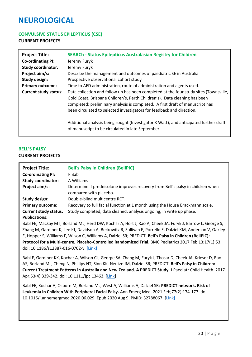# **NEUROLOGICAL**

### <span id="page-30-0"></span>**CONVULSIVE STATUS EPILEPTICUS (CSE)**

**CURRENT PROJECTS**

| <b>Project Title:</b><br><b>Co-ordinating PI:</b> | <b>SEARCh - Status Epilepticus Australasian Registry for Children</b><br>Jeremy Furyk                                                                                                                                                                                                                                         |
|---------------------------------------------------|-------------------------------------------------------------------------------------------------------------------------------------------------------------------------------------------------------------------------------------------------------------------------------------------------------------------------------|
| <b>Study coordinator:</b>                         | Jeremy Furyk                                                                                                                                                                                                                                                                                                                  |
| Project aim/s:                                    | Describe the management and outcomes of paediatric SE in Australia                                                                                                                                                                                                                                                            |
| Study design:                                     | Prospective observational cohort study                                                                                                                                                                                                                                                                                        |
| <b>Primary outcome:</b>                           | Time to AED administration, route of administration and agents used.                                                                                                                                                                                                                                                          |
| <b>Current study status:</b>                      | Data collection and follow up has been completed at the four study sites (Townsville,<br>Gold Coast, Brisbane Children's, Perth Children's). Data cleaning has been<br>completed; preliminary analysis is completed. A first draft of manuscript has<br>been circulated to selected investigators for feedback and direction. |
|                                                   | Additional analysis being sought (Investigator K Watt), and anticipated further draft<br>of manuscript to be circulated in late September.                                                                                                                                                                                    |

### **BELL'S PALSY CURRENT PROJECTS**

| <b>Project Title:</b>                                | <b>Bell's Palsy in Children (BellPIC)</b>                                                                |
|------------------------------------------------------|----------------------------------------------------------------------------------------------------------|
| <b>Co-ordinating PI:</b>                             | F Babl                                                                                                   |
| <b>Study coordinator:</b>                            | A Williams                                                                                               |
| Project aim/s:                                       | Determine if prednisolone improves recovery from Bell's palsy in children when<br>compared with placebo. |
| Study design:                                        | Double-blind multicentre RCT.                                                                            |
| <b>Primary outcome:</b>                              | Recovery to full facial function at 1 month using the House Brackmann scale.                             |
| <b>Current study status:</b><br><b>Publications:</b> | Study completed, data cleaned, analysis ongoing; in write up phase.                                      |

Babl FE, Mackay MT, Borland ML, Herd DW, Kochar A, Hort J, Rao A, Cheek JA, Furyk J, Barrow L, George S, Zhang M, Gardiner K, Lee KJ, Davidson A, Berkowitz R, Sullivan F, Porrello E, Dalziel KM, Anderson V, Oakley E, Hopper S, Williams F, Wilson C, Williams A, Dalziel SR; PREDICT. **Bell's Palsy in Children (BellPIC): Protocol for a Multi-centre, Placebo-Controlled Randomized Trial**. BMC Pediatrics 2017 Feb 13;17(1):53. doi: 10.1186/s12887-016-0702-y. [\[Link\]](https://www.ncbi.nlm.nih.gov/pubmed/?term=Bell%27s+Palsy+in+Children+(BellPIC)%3A+protocol+for+a+multicentre%2C+placebo-controlled+randomized+trial.)

Babl F, Gardiner KK, Kochar A, Wilson CL, George SA, Zhang M, Furyk J, Thosar D, Cheek JA, Krieser D, Rao AS, Borland ML, Cheng N, Phillips NT, Sinn KK, Neutze JM, Dalziel SR; PREDICT. **Bell's Palsy in Children: Current Treatment Patterns in Australia and New Zealand. A PREDICT Study**. J Paediatr Child Health. 2017 Apr;53(4):339-342. doi: 10.1111/jpc.13463. [\[Link\]](https://pubmed.ncbi.nlm.nih.gov/28177168/)

Babl FE, Kochar A, Osborn M, Borland ML, West A, Williams A, Dalziel SR; **PREDICT network. Risk of Leukemia in Children With Peripheral Facial Palsy.** Ann Emerg Med. 2021 Feb;77(2):174-177. doi: 10.1016/j.annemergmed.2020.06.029. Epub 2020 Aug 9. PMID: 32788067. [\[Link\]](https://pubmed.ncbi.nlm.nih.gov/32788067/)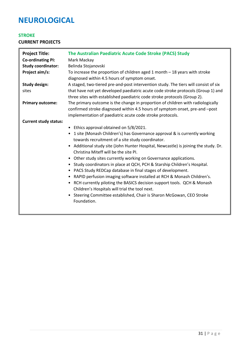# **NEUROLOGICAL**

### **STROKE**

| <b>Project Title:</b><br><b>Co-ordinating PI:</b> | The Australian Paediatric Acute Code Stroke (PACS) Study<br>Mark Mackay                                                                                                                                                                                                                                                                                                                                                                                                                                                                                                                                                                                                                                                                                                                                                                                                                                           |
|---------------------------------------------------|-------------------------------------------------------------------------------------------------------------------------------------------------------------------------------------------------------------------------------------------------------------------------------------------------------------------------------------------------------------------------------------------------------------------------------------------------------------------------------------------------------------------------------------------------------------------------------------------------------------------------------------------------------------------------------------------------------------------------------------------------------------------------------------------------------------------------------------------------------------------------------------------------------------------|
| <b>Study coordinator:</b>                         | Belinda Stojanovski                                                                                                                                                                                                                                                                                                                                                                                                                                                                                                                                                                                                                                                                                                                                                                                                                                                                                               |
| Project aim/s:                                    | To increase the proportion of children aged $1$ month $-18$ years with stroke<br>diagnosed within 4.5 hours of symptom onset.                                                                                                                                                                                                                                                                                                                                                                                                                                                                                                                                                                                                                                                                                                                                                                                     |
| <b>Study design:</b><br>sites                     | A staged, two-tiered pre-and-post intervention study. The tiers will consist of six<br>that have not yet developed paediatric acute code stroke protocols (Group 1) and<br>three sites with established paediatric code stroke protocols (Group 2).                                                                                                                                                                                                                                                                                                                                                                                                                                                                                                                                                                                                                                                               |
| <b>Primary outcome:</b>                           | The primary outcome is the change in proportion of children with radiologically<br>confirmed stroke diagnosed within 4.5 hours of symptom onset, pre-and -post<br>implementation of paediatric acute code stroke protocols.                                                                                                                                                                                                                                                                                                                                                                                                                                                                                                                                                                                                                                                                                       |
| <b>Current study status:</b>                      | Ethics approval obtained on 5/8/2021.<br>$\bullet$<br>1 site (Monash Children's) has Governance approval & is currently working<br>$\bullet$<br>towards recruitment of a site study coordinator.<br>Additional study site (John Hunter Hospital, Newcastle) is joining the study. Dr.<br>$\bullet$<br>Christina Miteff will be the site PI.<br>Other study sites currently working on Governance applications.<br>٠<br>Study coordinators in place at QCH, PCH & Starship Children's Hospital.<br>$\bullet$<br>PACS Study REDCap database in final stages of development.<br>$\bullet$<br>RAPID perfusion imaging software installed at RCH & Monash Children's.<br>٠<br>RCH currently piloting the BASICS decision support tools. QCH & Monash<br>$\bullet$<br>Children's Hospitals will trial the tool next.<br>Steering Committee established, Chair is Sharon McGowan, CEO Stroke<br>$\bullet$<br>Foundation. |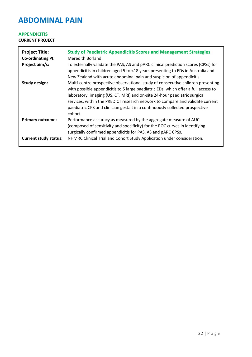# **ABDOMINAL PAIN**

# **APPENDICITIS**

| <b>Project Title:</b><br><b>Co-ordinating PI:</b><br>Project aim/s: | <b>Study of Paediatric Appendicitis Scores and Management Strategies</b><br>Meredith Borland<br>To externally validate the PAS, AS and pARC clinical prediction scores (CPSs) for                                                                                                                                                                                                                                              |
|---------------------------------------------------------------------|--------------------------------------------------------------------------------------------------------------------------------------------------------------------------------------------------------------------------------------------------------------------------------------------------------------------------------------------------------------------------------------------------------------------------------|
|                                                                     | appendicitis in children aged 5 to <18 years presenting to EDs in Australia and<br>New Zealand with acute abdominal pain and suspicion of appendicitis.                                                                                                                                                                                                                                                                        |
| <b>Study design:</b>                                                | Multi-centre prospective observational study of consecutive children presenting<br>with possible appendicitis to 5 large paediatric EDs, which offer a full access to<br>laboratory, imaging (US, CT, MRI) and on-site 24-hour paediatric surgical<br>services, within the PREDICT research network to compare and validate current<br>paediatric CPS and clinician gestalt in a continuously collected prospective<br>cohort. |
| <b>Primary outcome:</b>                                             | Performance accuracy as measured by the aggregate measure of AUC<br>(composed of sensitivity and specificity) for the ROC curves in identifying<br>surgically confirmed appendicitis for PAS, AS and pARC CPSs.                                                                                                                                                                                                                |
| <b>Current study status:</b>                                        | NHMRC Clinical Trial and Cohort Study Application under consideration.                                                                                                                                                                                                                                                                                                                                                         |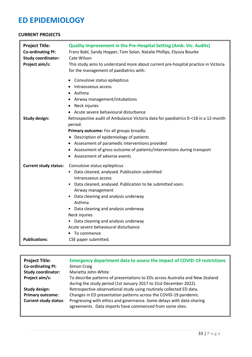# **ED EPIDEMIOLOGY**

| <b>Project Title:</b><br><b>Co-ordinating PI:</b><br><b>Study coordinator:</b><br>Project aim/s: | <b>Quality Improvement in the Pre-Hospital Setting (Amb. Vic. Audits)</b><br>Franz Babl, Sandy Hopper, Tom Solan, Natalie Phillips, Elyssia Bourke<br>Cate Wilson<br>This study aims to understand more about current pre-hospital practice in Victoria<br>for the management of paediatrics with:                                                                                                       |
|--------------------------------------------------------------------------------------------------|----------------------------------------------------------------------------------------------------------------------------------------------------------------------------------------------------------------------------------------------------------------------------------------------------------------------------------------------------------------------------------------------------------|
| <b>Study design:</b>                                                                             | • Convulsive status epilepticus<br>Intraosseous access<br>Asthma<br>Airway management/intubations<br>• Neck injuries<br>Acute severe behavioural disturbance<br>Retrospective audit of Ambulance Victoria data for paediatrics 0-<18 in a 12-month<br>period.<br>Primary outcome: For all groups broadly:                                                                                                |
|                                                                                                  | • Description of epidemiology of patients<br>Assessment of paramedic interventions provided<br>٠<br>Assessment of gross outcome of patients/interventions during transport<br>Assessment of adverse events                                                                                                                                                                                               |
| <b>Current study status:</b>                                                                     | Convulsive status epilepticus<br>Data cleaned, analysed. Publication submitted<br>Intraosseous access<br>• Data cleaned, analysed. Publication to be submitted soon.<br>Airway management<br>• Data cleaning and analysis underway<br>Asthma<br>• Data cleaning and analysis underway<br>Neck injuries<br>• Data cleaning and analysis underway<br>Acute severe behavioural disturbance<br>• To commence |
| <b>Publications:</b>                                                                             | CSE paper submitted.                                                                                                                                                                                                                                                                                                                                                                                     |

| <b>Project Title:</b><br><b>Co-ordinating PI:</b><br><b>Study coordinator:</b> | <b>Emergency department data to assess the impact of COVID-19 restrictions</b><br>Simon Craig<br>Marietta John-White                                                                                                                                                           |
|--------------------------------------------------------------------------------|--------------------------------------------------------------------------------------------------------------------------------------------------------------------------------------------------------------------------------------------------------------------------------|
| Project aim/s:                                                                 | To describe patterns of presentations to EDs across Australia and New Zealand<br>during the study period (1st January 2017 to 31st December 2022).                                                                                                                             |
| Study design:<br><b>Primary outcome:</b><br><b>Current study status:</b>       | Retrospective observational study using routinely collected ED data.<br>Changes in ED presentation patterns across the COVID-19 pandemic.<br>Progressing with ethics and governance. Some delays with data-sharing<br>agreements. Data imports have commenced from some sites. |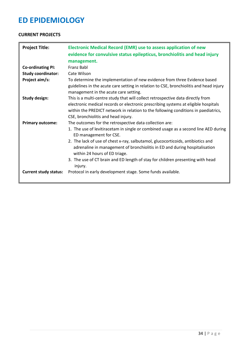# **ED EPIDEMIOLOGY**

| <b>Project Title:</b>        | <b>Electronic Medical Record (EMR) use to assess application of new</b><br>evidence for convulsive status epilepticus, bronchiolitis and head injury<br>management.                                                                                                                                                                                                                                                                                                     |
|------------------------------|-------------------------------------------------------------------------------------------------------------------------------------------------------------------------------------------------------------------------------------------------------------------------------------------------------------------------------------------------------------------------------------------------------------------------------------------------------------------------|
| <b>Co-ordinating PI:</b>     | <b>Franz Babl</b>                                                                                                                                                                                                                                                                                                                                                                                                                                                       |
| <b>Study coordinator:</b>    | Cate Wilson                                                                                                                                                                                                                                                                                                                                                                                                                                                             |
| Project aim/s:               | To determine the implementation of new evidence from three Evidence based<br>guidelines in the acute care setting in relation to CSE, bronchiolitis and head injury<br>management in the acute care setting.                                                                                                                                                                                                                                                            |
| <b>Study design:</b>         | This is a multi-centre study that will collect retrospective data directly from<br>electronic medical records or electronic prescribing systems at eligible hospitals<br>within the PREDICT network in relation to the following conditions in paediatrics,<br>CSE, bronchiolitis and head injury.                                                                                                                                                                      |
| <b>Primary outcome:</b>      | The outcomes for the retrospective data collection are:<br>1. The use of levitiracetam in single or combined usage as a second line AED during<br>ED management for CSE.<br>2. The lack of use of chest x-ray, salbutamol, glucocorticoids, antibiotics and<br>adrenaline in management of bronchiolitis in ED and during hospitalisation<br>within 24 hours of ED triage.<br>3. The use of CT brain and ED length of stay for children presenting with head<br>injury. |
| <b>Current study status:</b> | Protocol in early development stage. Some funds available.                                                                                                                                                                                                                                                                                                                                                                                                              |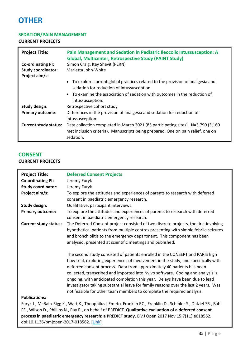# **OTHER**

### **SEDATION/PAIN MANAGEMENT**

# **CURRENT PROJECTS**

| <b>Project Title:</b>                       | Pain Management and Sedation in Pediatric Ileocolic Intussusception: A<br><b>Global, Multicenter, Retrospective Study (PAINT Study)</b>                                          |
|---------------------------------------------|----------------------------------------------------------------------------------------------------------------------------------------------------------------------------------|
| <b>Co-ordinating PI:</b>                    | Simon Craig, Itay Shavit (PERN)                                                                                                                                                  |
| <b>Study coordinator:</b><br>Project aim/s: | Marietta John-White                                                                                                                                                              |
|                                             | • To explore current global practices related to the provision of analgesia and<br>sedation for reduction of intussusception                                                     |
|                                             | • To examine the association of sedation with outcomes in the reduction of<br>intussusception.                                                                                   |
| <b>Study design:</b>                        | Retrospective cohort study                                                                                                                                                       |
| Primary outcome:                            | Differences in the provision of analgesia and sedation for reduction of                                                                                                          |
|                                             | intussusception.                                                                                                                                                                 |
| <b>Current study status:</b>                | Data collection completed in March 2021 (85 participating sites). N=3,790 (3,160<br>met inclusion criteria). Manuscripts being prepared. One on pain relief, one on<br>sedation. |

### **CONSENT CURRENT PROJECTS**

| <b>Project Title:</b>                                                                                            | <b>Deferred Consent Projects</b>                                                     |  |
|------------------------------------------------------------------------------------------------------------------|--------------------------------------------------------------------------------------|--|
| <b>Co-ordinating PI:</b>                                                                                         | Jeremy Furyk                                                                         |  |
| <b>Study coordinator:</b>                                                                                        | Jeremy Furyk                                                                         |  |
| Project aim/s:                                                                                                   | To explore the attitudes and experiences of parents to research with deferred        |  |
|                                                                                                                  | consent in paediatric emergency research.                                            |  |
| <b>Study design:</b>                                                                                             | Qualitative, participant interviews.                                                 |  |
| <b>Primary outcome:</b>                                                                                          | To explore the attitudes and experiences of parents to research with deferred        |  |
|                                                                                                                  | consent in paediatric emergency research.                                            |  |
| <b>Current study status:</b>                                                                                     | The Deferred Consent project consisted of two discrete projects, the first involving |  |
|                                                                                                                  | hypothetical patients from multiple centres presenting with simple febrile seizures  |  |
|                                                                                                                  | and bronchiolitis to the emergency department. This component has been               |  |
|                                                                                                                  | analysed, presented at scientific meetings and published.                            |  |
|                                                                                                                  | The second study consisted of patients enrolled in the CONSEPT and PARIS high        |  |
|                                                                                                                  | flow trial, exploring experiences of involvement in the study, and specifically with |  |
|                                                                                                                  | deferred consent process. Data from approximately 40 patients has been               |  |
|                                                                                                                  | collected, transcribed and imported into Nvivo software. Coding and analysis is      |  |
|                                                                                                                  | ongoing, with anticipated completion this year. Delays have been due to lead         |  |
|                                                                                                                  | investigator taking substantial leave for family reasons over the last 2 years. Was  |  |
|                                                                                                                  | not feasible for other team members to complete the required analysis.               |  |
| <b>Publications:</b>                                                                                             |                                                                                      |  |
| Furyk J., McBain-Rigg K., Watt K., Theophilus I Emeto, Franklin RC., Franklin D., Schibler S., Dalziel SR., Babl |                                                                                      |  |

FE., Wilson D., Phillips N., Ray R., on behalf of PREDICT. **Qualitative evaluation of a deferred consent process in paediatric emergency research: a PREDICT study**. BMJ Open 2017 Nov 15;7(11):e018562. doi:10.1136/bmjopen-2017-018562. [\[Link\]](https://pubmed.ncbi.nlm.nih.gov/29146655/)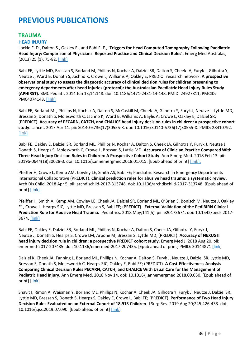# **TRAUMA**

### **HEAD INJURY**

Lockie F. D., Dalton S., Oakley E., and Babl F. E., '**Triggers for Head Computed Tomography Following Paediatric Head Injury: Comparison of Physicians' Reported Practice and Clinical Decision Rules'**, Emerg Med Australas, (2013) 25 (1), 75-82. [\[link\]](https://pubmed.ncbi.nlm.nih.gov/23379456/)

Babl FE, Lyttle MD, Bressan S, Borland M, Phillips N, Kochar A, Dalziel SR, Dalton S, Cheek JA, Furyk J, Gilhotra Y, Neutze J, Ward B, Donath S, Jachno K, Crowe L, Williams A, Oakley E; PREDICT research network. **A prospective observational study to assess the diagnostic accuracy of clinical decision rules for children presenting to emergency departments after head injuries (protocol): the Australasian Paediatric Head Injury Rules Study (APHIRST).** BMC Pediatr. 2014 Jun 13;14:148. doi: 10.1186/1471-2431-14-148. PMID: 24927811; PMCID: PMC4074143. [\[link\]](https://pubmed.ncbi.nlm.nih.gov/24927811/)

Babl FE, Borland ML, Phillips N, Kochar A, Dalton S, McCaskill M, Cheek JA, Gilhotra Y, Furyk J, Neutze J, Lyttle MD, Bressan S, Donath S, Molesworth C, Jachno K, Ward B, Williams A, Baylis A, Crowe L, Oakley E, Dalziel SR; (PREDICT). **Accuracy of PECARN, CATCH, and CHALICE head injury decision rules in children: a prospective cohort study**. Lancet. 2017 Apr 11. pii: S0140-6736(17)30555-X. doi: 10.1016/S0140-6736(17)30555-X. PMID: 28410792. [\[link\]](https://www.ncbi.nlm.nih.gov/pubmed/28410792)

Babl FE, Oakley E, Dalziel SR, Borland ML, Phillips N, Kochar A, Dalton S, Cheek JA, Gilhotra Y, Furyk J, Neutze J, Donath S, Hearps S, Molesworth C, Crowe L, Bressan S, Lyttle MD. **Accuracy of Clinician Practice Compared With Three Head Injury Decision Rules in Children: A Prospective Cohort Study**. Ann Emerg Med. 2018 Feb 13. pii: S0196-0644(18)30028-3. doi: 10.1016/j.annemergmed.2018.01.015. [Epub ahead of print] [\[link\].](https://pubmed.ncbi.nlm.nih.gov/29452747/)

Pfeiffer H, Crowe L, Kemp AM, Cowley LE, Smith AS, Babl FE; Paediatric Research in Emergency Departments International Collaborative (PREDICT). **Clinical prediction rules for abusive head trauma: a systematic review**. Arch Dis Child. 2018 Apr 5. pii: archdischild-2017-313748. doi: 10.1136/archdischild-2017-313748. [Epub ahead of print] [\[link\]](https://pubmed.ncbi.nlm.nih.gov/29622594/)

Pfeiffer H, Smith A, Kemp AM, Cowley LE, Cheek JA, Dalziel SR, Borland ML, O'Brien S, Bonisch M, Neutze J, Oakley E1, Crowe L, Hearps SJC, Lyttle MD, Bressan S, Babl FE; (PREDICT). **External Validation of the PediBIRN Clinical Prediction Rule for Abusive Head Trauma.** Pediatrics. 2018 May;141(5). pii: e20173674. doi: 10.1542/peds.2017- 3674. [\[link\]](https://pubmed.ncbi.nlm.nih.gov/29700200/)

Babl FE, Oakley E, Dalziel SR, Borland ML, Phillips N, Kochar A, Dalton S, Cheek JA, Gilhotra Y, Furyk J, Neutze J, Donath S, Hearps S, Crowe LM, Arpone M, Bressan S, Lyttle MD; (PREDICT). **Accuracy of NEXUS II head injury decision rule in children: a prospective PREDICT cohort study**, Emerg Med J. 2018 Aug 20. pii: emermed-2017-207435. doi: 10.1136/emermed-2017-207435. [Epub ahead of print] PMID: 30144871 [\[link\]](https://pubmed.ncbi.nlm.nih.gov/30127072/)

Dalziel K, Cheek JA, Fanning L, Borland ML, Phillips N, Kochar A, Dalton S, Furyk J, Neutze J, Dalziel SR, Lyttle MD, Bressan S, Donath S, Molesworth C, Hearps SJC, Oakley E, Babl FE; (PREDICT). **A Cost-Effectiveness Analysis Comparing Clinical Decision Rules PECARN, CATCH, and CHALICE With Usual Care for the Management of Pediatric Head Injury**. Ann Emerg Med. 2018 Nov 14. doi: 10.1016/j.annemergmed.2018.09.030. [Epub ahead of print] [\[link\]](https://pubmed.ncbi.nlm.nih.gov/30447947/)

Shavit I, Rimon A, Waisman Y, Borland ML, Phillips N, Kochar A, Cheek JA, Gilhotra Y, Furyk J, Neutze J, Dalziel SR, Lyttle MD, Bressan S, Donath S, Hearps S, Oakley E, Crowe L, Babl FE; (PREDICT). **Performance of Two Head Injury Decision Rules Evaluated on an External Cohort of 18,913 Children**. J Surg Res. 2019 Aug 20;245:426-433. doi: 10.1016/j.jss.2019.07.090. [Epub ahead of print] [\[link\]](https://pubmed.ncbi.nlm.nih.gov/31442746/)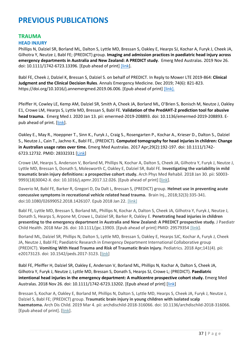### **TRAUMA**

#### **HEAD INJURY**

Phillips N, Dalziel SR, Borland ML, Dalton S, Lyttle MD, Bressan S, Oakley E, Hearps SJ, Kochar A, Furyk J, Cheek JA, Gilhotra Y, Neutze J, Babl FE; (PREDICT) group. **Imaging and admission practices in paediatric head injury across emergency departments in Australia and New Zealand: A PREDICT study**. Emerg Med Australas. 2019 Nov 26. doi: 10.1111/1742-6723.13396. [Epub ahead of print] [\[link\]](https://pubmed.ncbi.nlm.nih.gov/31773866/).

Babl FE, Cheek J, Dalziel K, Bressan S, Dalziel S. on behalf of PREDICT. In Reply to Mower LTE 2019-864: **Clinical Judgment and the Clinical Decision Rules**. Annals Emergency Medicine. Dec 2019; 74(6): 821-823. https://doi.org/10.1016/j.annemergmed.2019.06.006. [Epub ahead of print] [\[link\].](https://pubmed.ncbi.nlm.nih.gov/?term=In+Reply+to+Mower+LTE+2019-864)

Pfeiffer H, Cowley LE, Kemp AM, Dalziel SR, Smith A, Cheek JA, Borland ML, O'Brien S, Bonisch M, Neutze J, Oakley E1, Crowe LM, Hearps S, Lyttle MD, Bressan S, Babl FE. **Validation of the PredAHT-2 prediction tool for abusive head trauma.** Emerg Med J. 2020 Jan 13. pii: emermed-2019-208893. doi: 10.1136/emermed-2019-208893. Epub ahead of print. [\[link\]](https://pubmed.ncbi.nlm.nih.gov/31932397/).

Oakley E., May R., Hoeppner T., Sinn K., Furyk J., Craig S., Rosengarten P., Kochar A., Krieser D., Dalton S., Dalziel S., Neutze J., Cain T., Jachno K., Babl FE., (PREDICT). **Computed tomography for head injuries in children: Change in Australian usage rates over time.** Emerg Med Australas. 2017 Apr;29(2):192-197. doi: 10.1111/1742- 6723.12732. PMID: 28332331 [\[Link\]](https://pubmed.ncbi.nlm.nih.gov/28332331/)

Crowe LM, Hearps S, Anderson V, Borland M, Phillips N, Kochar A, Dalton S, Cheek JA, Gilhotra Y, Furyk J, Neutze J, Lyttle MD, Bressan S, Donath S, Molesworth C, Oakley E, Dalziel SR, Babl FE. **Investigating the variability in mild traumatic brain injury definitions: a prospective cohort study.** Arch Phys Med Rehabil. 2018 Jan 30. pii: S0003- 9993(18)30042-X. doi: 10.1016/j.apmr.2017.12.026. [Epub ahead of print] [\[link\]](https://www.ncbi.nlm.nih.gov/pubmed/29407521).

Daverio M, Babl FE, Barker R, Gregori D, Da Dalt L, Bressan S, (PREDICT) group. **Helmet use in preventing acute concussive symptoms in recreational vehicle related head trauma.** Brain Inj., 2018;32(3):335-341. doi:10.1080/02699052.2018.1426107. Epub 2018 Jan 22. [\[link\]](https://www.ncbi.nlm.nih.gov/pubmed/?term=Helmet+use+in+preventing+acute+concussive+symptoms+in+recreational+vehicle+related+head+trauma)

Babl FE, Lyttle MD, Bressan S, Borland ML, Phillips N, Kochar A, Dalton S, Cheek JA, Gilhotra Y, Furyk J, Neutze J, Donath S, Hearps S, Arpone M, Crowe L, Dalziel SR, Barker R, Oakley E. **Penetrating head injuries in children presenting to the emergency department in Australia and New Zealand: A PREDICT prospective study.** J Paediatr Child Health. 2018 Mar 26. doi: 10.1111/jpc.13903. [Epub ahead of print] PMID: 29579354 [\[link\]](https://www.ncbi.nlm.nih.gov/pubmed/29579354).

Borland ML, Dalziel SR, Phillips N, Dalton S, Lyttle MD, Bressan S, Oakley E, Hearps SJC, Kochar A, Furyk J, Cheek JA, Neutze J, Babl FE; Paediatric Research in Emergency Department International Collaborative group (PREDICT). **Vomiting With Head Trauma and Risk of Traumatic Brain Injury.** Pediatrics. 2018 Apr;141(4). pii: e20173123. doi: 10.1542/peds.2017-3123. [\[link\]](https://www.ncbi.nlm.nih.gov/pubmed/29599113)

Babl FE, Pfeiffer H, Dalziel SR, Oakley E, Anderson V, Borland ML, Phillips N, Kochar A, Dalton S, Cheek JA, Gilhotra Y, Furyk J, Neutze J, Lyttle MD, Bressan S, Donath S, Hearps SJ, Crowe L; (PREDICT). **Paediatric intentional head injuries in the emergency department: A multicentre prospective cohort study.** Emerg Med Australas. 2018 Nov 26. doi: 10.1111/1742-6723.13202. [Epub ahead of print] [\[link\]](https://pubmed.ncbi.nlm.nih.gov/30477046/)

Bressan S, Kochar A, Oakley E, Borland M, Phillips N, Dalton S, Lyttle MD, Hearps S, Cheek JA, Furyk J, Neutze J, Dalziel S, Babl FE; (PREDICT) group. **Traumatic brain injury in young children with isolated scalp haematoma.** Arch Dis Child. 2019 Mar 4. pii: archdischild-2018-316066. doi: 10.1136/archdischild-2018-316066. [Epub ahead of print]. [\[link\]](https://www.ncbi.nlm.nih.gov/pubmed/30833284).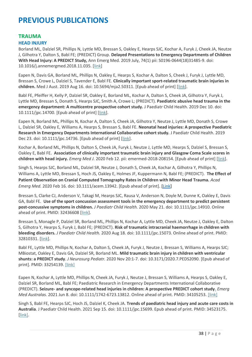### **TRAUMA**

#### **HEAD INJURY**

Borland ML, Dalziel SR, Phillips N, Lyttle MD, Bressan S, Oakley E, Hearps SJC, Kochar A, Furyk J, Cheek JA, Neutze J, Gilhotra Y, Dalton S, Babl FE; (PREDICT) Group. **Delayed Presentations to Emergency Departments of Children With Head Injury: A PREDICT Study,** Ann Emerg Med. 2019 July, 74(1) pii: S0196-0644(18)31485-9. doi: 10.1016/j.annemergmed.2018.11.035. [\[link\]](https://www.ncbi.nlm.nih.gov/pubmed/?term=Delayed+Presentations+to+Emergency+Departments+of+Children+With+Head+Injury%3A+A+PREDICT+Study)

Eapen N, Davis GA, Borland ML, Phillips N, Oakley E, Hearps S, Kochar A, Dalton S, Cheek J, Furyk J, Lyttle MD, Bressan S, Crowe L, Dalziel S, Tavender E, Babl FE. **Clinically important sport-related traumatic brain injuries in children.** Med J Aust. 2019 Aug 16. doi: 10.5694/mja2.50311. [Epub ahead of print] [\[link\]](https://www.ncbi.nlm.nih.gov/pubmed/?term=Clinically+important+sport-related+traumatic+brain+injuries+in+children).

Babl FE, Pfeiffer H, Kelly P, Dalziel SR, Oakley E, Borland ML, Kochar A, Dalton S, Cheek JA, Gilhotra Y, Furyk J, Lyttle MD, Bressan S, Donath S, Hearps SJC, Smith A, Crowe L; (PREDICT). **Paediatric abusive head trauma in the emergency department: A multicentre prospective cohort study.** J Paediatr Child Health. 2019 Dec 10. doi: 10.1111/jpc.14700. [Epub ahead of print] [\[link\]](https://www.ncbi.nlm.nih.gov/pubmed/?term=Paediatric+abusive+head+trauma+in+the+emergency+department%3A+A+multicentre+prospective+cohort+study).

Eapen N, Borland ML, Phillips N, Kochar A, Dalton S, Cheek JA, Gilhotra Y, Neutze J, Lyttle MD, Donath S, Crowe L, Dalziel SR, Oakley E, Williams A, Hearps S, Bressan S, Babl FE. **Neonatal head injuries: A prospective Paediatric Research in Emergency Departments International Collaborative cohort study.** J Paediatr Child Health. 2019 Dec 23. doi: 10.1111/jpc.14736. [Epub ahead of print] [\[link\]](https://www.ncbi.nlm.nih.gov/pubmed/?term=Neonatal+head+injuries%3A+A+prospective+Paediatric+Research+in+Emergency+Departments+International+Collaborative+cohort+study.).

Kochar A, Borland ML, Phillips N, Dalton S, Cheek JA, Furyk J, Neutze J, Lyttle MD, Hearps S, Dalziel S, Bressan S, Oakley E, Babl FE. **Association of clinically important traumatic brain injury and Glasgow Coma Scale scores in children with head injury.** *Emerg Med J.* 2020 Feb 12. pii: emermed-2018-208154. [Epub ahead of print] [\[link\]](https://www.ncbi.nlm.nih.gov/pubmed/32051126).

Singh S, Hearps SJC, Borland ML, Dalziel SR, Neutze J, Donath S, Cheek JA, Kochar A, Gilhotra Y, Phillips N, Williams A, Lyttle MD, Bressan S, Hoch JS, Oakley E, Holmes JF, Kuppermann N, Babl FE; (PREDICT). **The Effect of Patient Observation on Cranial Computed Tomography Rates in Children with Minor Head Trauma.** *Acad Emerg Med.* 2020 Feb 16. doi: 10.1111/acem.13942. [Epub ahead of print]. [\[Link\]](https://pubmed.ncbi.nlm.nih.gov/32064711/)

Bressan S, Clarke CJ, Anderson V, Takagi M, Hearps SJC, Rausa V, Anderson N, Doyle M, Dunne K, Oakley E, Davis GA, Babl FE. **Use of the sport concussion assessment tools in the emergency department to predict persistent post-concussive symptoms in children.** *J Paediatr Child Health.* 2020 May 21. doi: 10.1111/jpc.14910. Online ahead of print. PMID: 32436608 [\[link\]](https://protect-au.mimecast.com/s/FW12C71R1QsmEVQpT8cQad?domain=pubmed.ncbi.nlm.nih.gov).

Bressan S, Monagle P, Dalziel SR, Borland ML, Phillips N, Kochar A, Lyttle MD, Cheek JA, Neutze J, Oakley E, Dalton S, Gilhotra Y, Hearps S, Furyk J, Babl FE; (PREDICT). **Risk of traumatic intracranial haemorrhage in children with bleeding disorders.** *J Paediatr Child Health.* 2020 Aug 18. doi: 10.1111/jpc.15073. Online ahead of print. PMID: 32810331. [\[link\]](https://pubmed.ncbi.nlm.nih.gov/32810331/).

Babl FE, Lyttle MD, Phillips N, Kochar A, Dalton S, Cheek JA, Furyk J, Neutze J, Bressan S, Williams A, Hearps SJC; MBiostat, Oakley E, Davis GA, Dalziel SR, Borland ML. **Mild traumatic brain injury in children with ventricular shunts: a PREDICT study**. *J Neurosurg Pediatr.* 2020 Nov 20:1-7. doi: 10.3171/2020.7.PEDS2090. [Epub ahead of print]. PMID: 33254139. [\[link\]](https://pubmed.ncbi.nlm.nih.gov/33254139/)

Eapen N, Kochar A, Lyttle MD, Phillips N, Cheek JA, Furyk J, Neutze J, Bressan S, Williams A, Hearps S, Oakley E, Dalziel SR, Borland ML, Babl FE; Paediatric Research in Emergency Departments International Collaborative (PREDICT). **Seizure- and syncope-related head injuries in children: A prospective PREDICT cohort stud[y.](https://pubmed.ncbi.nlm.nih.gov/34105253/)** *Emerg Med Australas.* 2021 Jun 8. doi: 10.1111/1742-6723.13812. Online ahead of print. PMID: 34105253. [\[link\]](https://pubmed.ncbi.nlm.nih.gov/34105253/)

Singh S, Babl FE, Hearps SJC, Hoch JS, Dalziel K, Cheek JA. **Trends of paediatric head injury and acute care costs in Australia**. J Paediatr Child Health. 2021 Sep 15. doi: 10.1111/jpc.15699. Epub ahead of print. PMID: 34523175. [\[link\].](https://pubmed.ncbi.nlm.nih.gov/34523175/)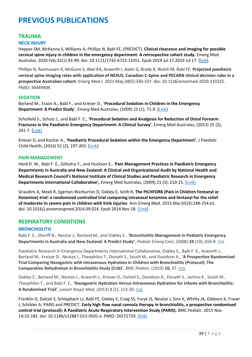### **TRAUMA**

#### **NECK INJURY**

Hopper SM, McKenna S, Williams A, Phillips N, Babl FE, (PREDICT). **Clinical clearance and imaging for possible cervical spine injury in children in the emergency department: A retrospective cohort study.** Emerg Med Australas. 2020 Feb;32(1):93-99. doi: 10.1111/1742-6723.13351. Epub 2019 Jul 17.2019 Jul 17. [\[link\]](https://pubmed.ncbi.nlm.nih.gov/31317676/).

Phillips N, Rasmussen K, McGuire S, Abel KA, Acworth J, Askin G, Brady R, Walsh M, Babl FE. **Projected paediatric cervical spine imaging rates with application of NEXUS, Canadian C-Spine and PECARN clinical decision rules in a prospective Australian cohort.** Emerg Med J. 2021 May;38(5):330-337. doi: 10.1136/emermed-2020-210325. PMID: 34449409.

#### **SEDATION**

Borland M., Esson A., Babl F., and Krieser D., '**Procedural Sedation in Children in the Emergency Department: A Predict Study**', Emerg Med Australas, (2009) 21 (1), 71-9. [\[Link\]](https://pubmed.ncbi.nlm.nih.gov/19254316/)

Schofield S., Schutz J., and Babl F. E., '**Procedural Sedation and Analgesia for Reduction of Distal Forearm Fractures in the Paediatric Emergency Department: A Clinical Survey'**, Emerg Med Australas, (2013) 25 (3), 241-7. [\[Link\]](https://pubmed.ncbi.nlm.nih.gov/23759045/)

Krieser D, and Kochar A., '**Paediatric Procedural Sedation within the Emergency Department'**, J Paediatr Child Health, (2016) 52 (2), 197-203. [\[Link\]](https://pubmed.ncbi.nlm.nih.gov/27062624/)

#### **PAIN MANAGEMENT**

Herd D. W., Babl F. E., Gilhotra Y., and Huckson S., '**Pain Management Practices in Paediatric Emergency Departments in Australia and New Zealand: A Clinical and Organizational Audit by National Health and Medical Research Council's National Institute of Clinical Studies and Paediatric Research in Emergency Departments International Collaborative',** Emerg Med Australas, (2009) 21 (3), 210-21. [\[Link\]](https://pubmed.ncbi.nlm.nih.gov/19527281/)

Graudins A, Meek R, Egerton-Warburton D, Oakley E, Seith R**. The PICHFORK (Pain in Children Fentanyl or Ketamine) trial: a randomized controlled trial comparing intranasal ketamine and fentanyl for the relief of moderate to severe pain in children with limb injuries**. Ann Emerg Med. 2015 Mar;65(3):248-254.e1. doi: 10.1016/j.annemergmed.2014.09.024. Epub 2014 Nov 18. [\[Link\]](https://pubmed.ncbi.nlm.nih.gov/25447557/)

# **RESPIRATORY CONDITIONS**

#### **BRONCHIOLITIS**

Babl F. E., Sheriff N., Neutze J., Borland M., and Oakley E., **'Bronchiolitis Management in Pediatric Emergency Departments in Australia and New Zealand: A Predict Study'**, *Pediatr Emerg Care,* (2008) **24** (10), 656-8. [link](http://www.ncbi.nlm.nih.gov/pubmed/19242132)

Paediatric Research in Emergency Departments International Collaborative, Oakley E., Babl F. E., Acworth J., Borland M., Kreiser D., Neutze J., Theophilos T., Donath S., South M., and Davidson A., **'A Prospective Randomised Trial Comparing Nasogastric with Intravenous Hydration in Children with Bronchiolitis (Protocol): The Comparative Rehydration in Bronchiolitis Study (Crib)'**, *BMC Pediatr,* (2010) **10,** 37. [link](http://www.ncbi.nlm.nih.gov/pubmed?term=A%20prospective%20randomised%20trial%20comparing%20nasogastric%20with%20intravenous%20hydration%20in%20children%20with%20bronchiolitis%20%28protocol%29%3A%20the%20comparative%20rehydration%20in%20bronchiolitis%20study%20%28CRIB%29)

Oakley E., Borland M., Neutze J., Acworth J., Krieser D., Dalziel S., Davidson A., Donath S., Jachno K., South M., Theophilos T., and Babl F. E., **'Nasogastric Hydration Versus Intravenous Hydration for Infants with Bronchiolitis: A Randomised Trial'**, *Lancet Respir Med,* (2013) **1** (2), 113-20. [link](http://www.ncbi.nlm.nih.gov/pubmed?term=%28Nasogastric%20hydration%20versus%20intravenous%20hydration%20for%20infants%20with%20bronchiolitis%3A%20a%20randomised%20trial%5bTitle%5d%29%20AND%20Oakely%20E%5bAuthor%5d)

Franklin D, Dalziel S, Schlapbach LJ, Babl FE, Oakley E, Craig SS, Furyk JS, Neutze J, Sinn K, Whitty JA, Gibbons K, Fraser J, Schibler A; PARIS and PREDICT. **Early high flow nasal cannula therapy in bronchiolitis, a prospective randomised control trial (protocol): A Paediatric Acute Respiratory Intervention Study (PARIS).** BMC Pediatr. 2015 Nov 14;15:183. doi: 10.1186/s12887-015-0501-x. PMID: 26572729. [\[link\]](https://pubmed.ncbi.nlm.nih.gov/26572729/)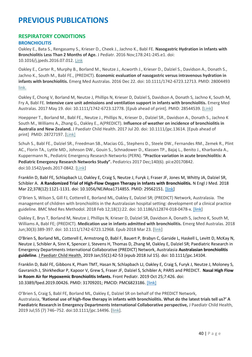## **RESPIRATORY CONDITIONS**

### **BRONCHIOLITIS**

Oakley E., Bata S., Rengasamy S., Krieser D., Cheek J., Jachno K., Babl FE. **Nasogastric Hydration in Infants with Bronchiolitis Less Than 2 Months of Age.** J Pediatr. 2016 Nov;178:241-245.e1. doi: 10.1016/j.jpeds.2016.07.012. [Link](https://www.ncbi.nlm.nih.gov/pubmed/?term=Nasogastric+Hydration+in+Infants+with+Bronchiolitis+Less+Than+2+Months+of+Age)

Oakley E., Carter R., Murphy B., Borland M., Neutze J., Acworth J., Krieser D., Dalziel S., Davidson A., Donath S., Jachno K., South M., Babl FE., (PREDICT). **Economic evaluation of nasogastric versus intravenous hydration in infants with bronchiolitis.** Emerg Med Australas. 2016 Dec 22. doi: 10.1111/1742-6723.12713. PMID: 28004493 [link.](https://www.ncbi.nlm.nih.gov/pubmed/28004493)

Oakley E, Chong V, Borland M, Neutze J, Phillips N, Krieser D, Dalziel S, Davidson A, Donath S, Jachno K, South M, Fry A, Babl FE. **Intensive care unit admissions and ventilation support in infants with bronchiolitis.** Emerg Med Australas. 2017 May 19. doi: 10.1111/1742-6723.12778. [Epub ahead of print]. PMID: 28544539. [\[Link\]](https://www.ncbi.nlm.nih.gov/pubmed/28544539)

Hoeppner T., Borland M., Babl FE., Neutze J., Phillips N., Krieser D., Dalziel SR., Davidson A., Donath S., Jachno K South M., Williams A., Zhang G., Oakley E., A(PREDICT). **Influence of weather on incidence of bronchiolitis in Australia and New Zealand.** J Paediatr Child Health. 2017 Jul 20. doi: 10.1111/jpc.13614. [Epub ahead of print] PMID: 28727197. [\[Link\]](https://www.ncbi.nlm.nih.gov/pubmed/?term=.+Influence+of+weather+on+incidence+of+bronchiolitis+in+Australia+and+New+Zealand.)

Schuh S., Babl FE., Dalziel SR., Freedman SB., Macias CG., Stephens D., Steele DW., Fernandes RM., Zemek R., Plint AC., Florin TA., Lyttle MD., Johnson DW., Gouin S., Schnadower D., Klassen TP., Bajaj L., Benito J., Kharbanda A., Kuppermann N., Pediatric Emergency Research Networks (PERN). **"Practice variation in acute bronchiolitis: A Pediatric Emergency Research Networks Study".** Pediatrics 2017 Dec;140(6). pii:e20170842. doi:10.1542/peds.2017-0842. [\[Link\]](https://www.ncbi.nlm.nih.gov/pubmed/29184035)

Franklin D, Babl FE, Schlapbach LJ, Oakley E, Craig S, Neutze J, Furyk J, Fraser JF, Jones M, Whitty JA, Dalziel SR, Schibler A. **A Randomized Trial of High-Flow Oxygen Therapy in Infants with Bronchiolitis.** N Engl J Med. 2018 Mar 22;378(12):1121-1131. doi: 10.1056/NEJMoa1714855. PMID: 29562151. [\[link\]](https://pubmed.ncbi.nlm.nih.gov/29562151/)

O'Brien S, Wilson S, Gill FJ, Cotterell E, Borland ML, Oakley E, Dalziel SR; (PREDICT) Network, Australasia. The management of children with bronchiolitis in the Australasian hospital setting: development of a clinical practice guideline. BMC Med Res Methodol. 2018 Feb 12;18(1):22. doi: 10.1186/s12874-018-0478-x[. \[link\]](https://pubmed.ncbi.nlm.nih.gov/29433429/)

Oakley E, Brys T, Borland M, Neutze J, Phillips N, Krieser D, Dalziel SR, Davidson A, Donath S, Jachno K, South M, Williams A, Babl FE; (PREDICT). **Medication use in infants admitted with bronchiolitis.** Emerg Med Australas. 2018 Jun;30(3):389-397. doi: 10.1111/1742-6723.12968. Epub 2018 Mar 23. [\[link\]](https://www.ncbi.nlm.nih.gov/pubmed/29573212)

O'Brien S, Borland ML, Cotterell E, Armstrong D, Babl F, Bauert P, Brabyn C, Garside L, Haskell L, Levitt D, McKay N, Neutze J, Schibler A, Sinn K, Spencer J, Stevens H, Thomas D, Zhang M, Oakley E, Dalziel SR; Paediatric Research in Emergency Departments International Collaborative (PREDICT) Network, Australasia **Australasian bronchiolitis guideline***.* J Paediatr Child Health. 2019 Jan;55(1):42-53 (epub 2018 Jul 15). doi: 10.1111/jpc.14104.

Franklin D, Babl FE, Gibbons K, Pham TMT, Hasan N, Schlapbach LJ, Oakley E, Craig S, Furyk J, Neutze J, Moloney S, Gavranich J, Shirkhedkar P, Kapoor V, Grew S, Fraser JF, Dalziel S, Schibler A; PARIS and PREDICT. **Nasal High Flow in Room Air for Hypoxemic Bronchiolitis Infants.** Front Pediatr. 2019 Oct 25;7:426. doi: 10.3389/fped.2019.00426. PMID: 31709201; PMCID: PMC6823186. [\[link\]](https://pubmed.ncbi.nlm.nih.gov/31709201/)

O'Brien S, Craig S, Babl FE, Borland ML, Oakley E, Dalziel SR on behalf of the PREDICT Network, Australasia, **'Rational use of high-flow therapy in infants with bronchiolitis. What do the latest trials tell us?' A Paediatric Research in Emergency Departments International Collaborative perspective,** J Paediatr Child Health, 2019 Jul;55 (7) 746–752. doi:10.1111/jpc.14496. [\[link\]](https://www.ncbi.nlm.nih.gov/pubmed/?term=rational+use+of+high-flow+therapy+in+infants+with+bronchiolitis).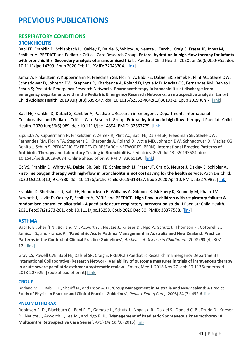## **RESPIRATORY CONDITIONS**

#### **BRONCHIOLITIS**

Babl FE, Franklin D, Schlapbach LJ, Oakley E, Dalziel S, Whitty JA, Neutze J, Furyk J, Craig S, Fraser JF, Jones M, Schibler A; PREDICT and Pediatric Critical Care Research Group. **Enteral hydration in high-flow therapy for infants with bronchiolitis: Secondary analysis of a randomised trial**. J Paediatr Child Health. 2020 Jun;56(6):950-955. doi: 10.1111/jpc.14799. Epub 2020 Feb 11. PMID: 32043304. [\[link\]](https://pubmed.ncbi.nlm.nih.gov/32043304/)

Jamal A, Finkelstein Y, Kuppermann N, Freedman SB, Florin TA, Babl FE, Dalziel SR, Zemek R, Plint AC, Steele DW, Schnadower D, Johnson DW, Stephens D, Kharbanda A, Roland D, Lyttle MD, Macias CG, Fernandes RM, Benito J, Schuh S; Pediatric Emergency Research Networks. **Pharmacotherapy in bronchiolitis at discharge from emergency departments within the Pediatric Emergency Research Networks: a retrospective analysis.** Lancet Child Adolesc Health. 2019 Aug;3(8):539-547. doi: 10.1016/S2352-4642(19)30193-2. Epub 2019 Jun 7. [\[link\]](https://www.ncbi.nlm.nih.gov/pubmed/31182422)

Babl FE, Franklin D, Dalziel S, Schibler A; Paediatric Research in Emergency Departments International Collaborative and Pediatric Critical Care Research Group. **Enteral hydration in high flow therapy**. J Paediatr Child Health. 2020 Jun;56(6):989. doi: 10.1111/jpc.14894. PMID: 32567779. [\[link\]](https://pubmed.ncbi.nlm.nih.gov/32567779/).

Zipursky A, Kuppermann N, Finkelstein Y, Zemek R, Plint AC, Babl FE, Dalziel SR, Freedman SB, Steele DW, Fernandes RM, Florin TA, Stephens D, Kharbanda A, Roland D, Lyttle MD, Johnson DW, Schnadower D, Macias CG, Benito J, Schuh S; PEDIATRIC EMERGENCY RESEARCH NETWORKS (PERN). **International Practice Patterns of Antibiotic Therapy and Laboratory Testing in Bronchiolitis.** Pediatrics. 2020 Jul 13:e20193684. doi: 10.1542/peds.2019-3684. Online ahead of print. PMID: 32661190. [\[link\]](https://pubmed.ncbi.nlm.nih.gov/32661190/).

Gc VS, Franklin D, Whitty JA, Dalziel SR, Babl FE, Schlapbach LJ, Fraser JF, Craig S, Neutze J, Oakley E, Schibler A**. First-line oxygen therapy with high-flow in bronchiolitis is not cost saving for the health service**. Arch Dis Child. 2020 Oct;105(10):975-980. doi: 10.1136/archdischild-2019-318427. Epub 2020 Apr 10. PMID: 32276987. [\[link\]](https://pubmed.ncbi.nlm.nih.gov/32276987/)

Franklin D, Shellshear D, Babl FE, Hendrickson R, Williams A, Gibbons K, McEnery K, Kennedy M, Pham TM, Acworth J, Levitt D, Oakley E, Schibler A; PARIS and PREDICT. **High flow in children with respiratory failure: A randomised controlled pilot trial - A paediatric acute respiratory intervention study.** J Paediatr Child Health. 2021 Feb;57(2):273-281. doi: 10.1111/jpc.15259. Epub 2020 Dec 30. PMID: 33377568. [\[link\]](https://pubmed.ncbi.nlm.nih.gov/33377568/)

#### **ASTHMA**

Babl F. E., Sheriff N., Borland M., Acworth J., Neutze J., Krieser D., Ngo P., Schutz J., Thomson F., Cotterell E., Jamison S., and Francis P., **'Paediatric Acute Asthma Management in Australia and New Zealand: Practice Patterns in the Context of Clinical Practice Guidelines'**, *Archives of Disease in Childhood,* (2008) **93** (4), 307- 12. [\[link\]](http://www.ncbi.nlm.nih.gov/pubmed/18356383)

Gray CS, Powell CVE, Babl FE, Dalziel SR, Craig S; PREDICT (Paediatric Research In Emergency Departments International Collaborative) Research Network. **Variability of outcome measures in trials of intravenous therapy in acute severe paediatric asthma: a systematic review.** Emerg Med J. 2018 Nov 27. doi: 10.1136/emermed-2018-207929. [Epub ahead of print] [\[link\]](https://www.ncbi.nlm.nih.gov/pubmed/30482777)

#### **CROUP**

Borland M. L., Babl F. E., Sheriff N., and Esson A. D., **'Croup Management in Australia and New Zealand: A Predict Study of Physician Practice and Clinical Practice Guidelines'**, *Pediatr Emerg Care,* (2008) **24** (7), 452-6. [link](http://www.ncbi.nlm.nih.gov/pubmed?term=%28Emergency%20department%20management%20of%20gastro-enteritis%20in%20Australia%20and%20New%20Zealand.%5bTitle%5d%29)

#### **PNEUMOTHORAX**

Robinson P. D., Blackburn C., Babl F. E., Gamage L., Schutz J., Nogajski R., Dalziel S., Donald C. B., Druda D., Krieser D., Neutze J., Acworth J., Lee M., and Ngo P. K., **'Management of Paediatric Spontaneous Pneumothorax: A Multicentre Retrospective Case Series'**, *Arch Dis Child,* (2015). [link](https://www.ncbi.nlm.nih.gov/pubmed/?term=Management+of+Paediatric+Spontaneous+Pneumothorax%3A+A+Multicentre+Retrospective+Case+Series)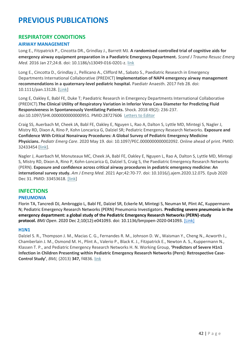# **RESPIRATORY CONDITIONS**

### **AIRWAY MANAGEMENT**

Long E., Fitzpatrick P., Cincotta DR., Grindlay J., Barrett MJ. **A randomised controlled trial of cognitive aids for emergency airway equipment preparation in a Paediatric Emergency Department.** *Scand J Trauma Resusc Emerg Med.* 2016 Jan 27;24:8. doi: 10.1186/s13049-016-0201-z. [link](https://www.ncbi.nlm.nih.gov/pubmed/?term=A+randomised+controlled+trial+of+cognitive+aids+for+emergency+airway+equipment+preparation+in+a+Paediatric+Emergency+Department)

Long E., Cincotta D., Grindlay J., Pellicano A., Clifford M., Sabato S., Paediatric Research in Emergency Departments International Collaborative (PREDICT) **Implementation of NAP4 emergency airway management recommendations in a quaternary-level pediatric hospital.** Paediatr Anaesth. 2017 Feb 28. doi: 10.1111/pan.13128. [\[Link\]](https://www.ncbi.nlm.nih.gov/pubmed?term=Implementation%20of%20NAP4%20emergency%20airway%20management%20recommendations%20in%20a%20quaternary-level%20pediatric%20hospital.)

Long E, Oakley E, Babl FE, Duke T; Paediatric Research in Emergency Departments International Collaborative (PREDICT).**The Clinical Utility of Respiratory Variation in Inferior Vena Cava Diameter for Predicting Fluid Responsiveness in Spontaneously Ventilating Patients.** Shock. 2018 49(2): 236-237. doi:10.1097/SHK.0000000000000951. PMID:28727606 [Letters to Editor](https://www.predict.org.au/wp-content/uploads/2018/09/Long_Shock-Society_Letters-to-Editor.pdf)

Craig SS, Auerbach M, Cheek JA, Babl FE, Oakley E, Nguyen L, Rao A, Dalton S, Lyttle MD, Mintegi S, Nagler J, Mistry RD, Dixon A, Rino P, Kohn Loncarica G, Dalziel SR; Pediatric Emergency Research Networks. **Exposure and Confidence With Critical Nonairway Procedures: A Global Survey of Pediatric Emergency Medicine Physicians.** *Pediatr Emerg Care*. 2020 May 19. doi: 10.1097/PEC.0000000000002092. Online ahead of print. PMID: 32433454 [\[link\]](https://pubmed.ncbi.nlm.nih.gov/32433454/?from_single_result=Exposure+and+Confidence+With+Critical+Nonairway+Procedures%3A+A+Global+Survey+of+Pediatric+Emergency+Medicine+Physicians.&expanded_search_query=Exposure+and+Confidence+With+Critical+Nonairway+Procedures%3A+A+Global+Survey+of+Pediatric+Emergency+Medicine+Physicians.).

Nagler J, Auerbach M, Monuteaux MC, Cheek JA, Babl FE, Oakley E, Nguyen L, Rao A, Dalton S, Lyttle MD, Mintegi S, Mistry RD, Dixon A, Rino P, Kohn-Loncarica G, Dalziel S, Craig S, the Paediatric Emergency Research Networks (PERN). **Exposure and confidence across critical airway procedures in pediatric emergency medicine: An international survey study.** *Am J Emerg Med.* 2021 Apr;42:70-77. doi: 10.1016/j.ajem.2020.12.075. Epub 2020 Dec 31. PMID: 33453618. [\[link\]](https://pubmed.ncbi.nlm.nih.gov/33453618/)

### **INFECTIONS**

### **PNEUMONIA**

Florin TA, Tancredi DJ, Ambroggio L, Babl FE, Dalziel SR, Eckerle M, Mintegi S, Neuman M, Plint AC, Kuppermann N; Pediatric Emergency Research Networks (PERN) Pneumonia Investigators. **Predicting severe pneumonia in the emergency department: a global study of the Pediatric Emergency Research Networks (PERN)-study protocol.** *BMJ Open*. 2020 Dec 2;10(12):e041093. doi: 10.1136/bmjopen-2020-041093. [\[Link\]](https://pubmed.ncbi.nlm.nih.gov/33268423/)

### **H1N1**

Dalziel S. R., Thompson J. M., Macias C. G., Fernandes R. M., Johnson D. W., Waisman Y., Cheng N., Acworth J., Chamberlain J. M., Osmond M. H., Plint A., Valerio P., Black K. J., Fitzpatrick E., Newton A. S., Kuppermann N., Klassen T. P., and Pediatric Emergency Research Networks H. N. Working Group, **'Predictors of Severe H1n1 Infection in Children Presenting within Pediatric Emergency Research Networks (Pern): Retrospective Case-Control Study'**, *BMJ,* (2013) **347,** f4836. [link](http://www.ncbi.nlm.nih.gov/pubmed?term=%28Predictors%20of%20severe%20H1N1%20infection%20in%20children%20presenting%20within%20Pediatric%20Emergency%20Research%20Networks%20%28PERN%29%3A%20retrospective%20case-control%20study%5bTitle%5d%29%20AND%20Dalziel%20SR%5bAuthor%5d)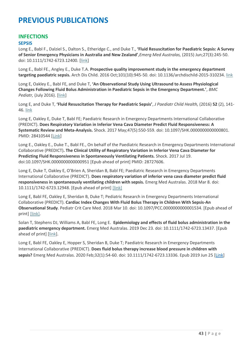# **INFECTIONS**

#### **SEPSIS**

Long E., Babl F., Dalziel S., Dalton S., Etheridge C., and Duke T., **'Fluid Resuscitation for Paediatric Sepsis: A Survey of Senior Emergency Physicians in Australia and New Zealand'**,*Emerg Med Australas,* (2015) Jun;27(3):245-50. doi: 10.1111/1742-6723.12400. [\[link\]](https://www.ncbi.nlm.nih.gov/pubmed/25919571)

Long E., Babl FE., Angley E., Duke T.A. **Prospective quality improvement study in the emergency department targeting paediatric sepsis.** Arch Dis Child. 2016 Oct;101(10):945-50. doi: 10.1136/archdischild-2015-310234. [link](https://www.ncbi.nlm.nih.gov/pubmed/?term=A+prospective+quality+improvement+study+in+the+emergency+department+targeting+paediatric+sepsis)

Long E, Oakley E., Babl FE, and Duke T, **'An Observational Study Using Ultrasound to Assess Physiological Changes Following Fluid Bolus Administration in Paediatric Sepsis in the Emergency Department.'**, *BMC Pediatr,* (July 2016). [\[link\]](https://www.ncbi.nlm.nih.gov/pubmed/?term=An+Observational+Study+Using+Ultrasound+to+Assess+Physiological+Changes+Following+Fluid+Bolus+Administration+in+Paediatric+Sepsis+in+the+Emergency+Department.)

Long E, and Duke T, **'Fluid Resuscitation Therapy for Paediatric Sepsis'**, *J Paediatr Child Health,* (2016) **52** (2), 141- 46. [link](http://www.ncbi.nlm.nih.gov/pubmed/27062617)

Long E, Oakley E, Duke T, Babl FE; Paediatric Research in Emergency Departments International Collaborative (PREDICT). **Does Respiratory Variation in Inferior Vena Cava Diameter Predict Fluid Responsiveness: A Systematic Review and Meta-Analysis.** Shock. 2017 May;47(5):550-559. doi: 10.1097/SHK.0000000000000801. PMID: 28410544 [\[Link\]](https://www.ncbi.nlm.nih.gov/pubmed?term=(Does%20Respiratory%20Variation%20in%20Inferior%20Vena%20Cava%20Diameter%20Predict%20Fluid%20Responsiveness%3A%20A%20Systematic%20Review%20and%20Meta-Analysis))

Long E., Oakley E., Duke T., Babl FE., On behalf of the Paediatric Research in Emergency Departments International Collaborative (PREDICT)**. The Clinical Utility of Respiratory Variation in Inferior Vena Cava Diameter for Predicting Fluid Responsiveness in Spontaneously Ventilating Patients.** Shock. 2017 Jul 19. doi:10.1097/SHK.0000000000000951 [Epub ahead of print] PMID: 28727606.

Long E, Duke T, Oakley E, O'Brien A, Sheridan B, Babl FE; Paediatric Research in Emergency Departments International Collaborative (PREDICT). **Does respiratory variation of inferior vena cava diameter predict fluid responsiveness in spontaneously ventilating children with sepsis.** Emerg Med Australas. 2018 Mar 8. doi: 10.1111/1742-6723.12948. [Epub ahead of print] [\[link\]](https://www.ncbi.nlm.nih.gov/pubmed/29520998)

Long E, Babl FE, Oakley E, Sheridan B, Duke T; Pediatric Research in Emergency Departments International Collaborative (PREDICT). **Cardiac Index Changes With Fluid Bolus Therapy in Children With Sepsis-An Observational Study**. Pediatr Crit Care Med. 2018 Mar 10. doi: 10.1097/PCC.0000000000001534. [Epub ahead of print] [\[link\].](https://www.ncbi.nlm.nih.gov/pubmed/29533353)

Solan T, Stephens DJ, Williams A, Babl FE, Long E. **Epidemiology and effects of fluid bolus administration in the paediatric emergency department.** Emerg Med Australas. 2019 Dec 23. doi: 10.1111/1742-6723.13437. [Epub ahead of print] [\[link\]](https://www.ncbi.nlm.nih.gov/pubmed/?term=Epidemiology+and+effects+of+fluid+bolus+administration+in+the+paediatric+emergency+department.).

Long E, Babl FE, Oakley E, Hopper S, Sheridan B, Duke T; Paediatric Research in Emergency Departments International Collaborative (PREDICT). **Does fluid bolus therapy increase blood pressure in children with sepsis?** Emerg Med Australas. 2020 Feb;32(1):54-60. doi: 10.1111/1742-6723.13336. Epub 2019 Jun 25 [\[Link\]](https://pubmed.ncbi.nlm.nih.gov/31237412/)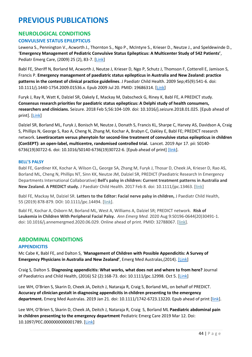# **NEUROLOGICAL CONDITIONS**

### **CONVULSIVE STATUS EPILEPTICUS**

Lewena S., Pennington V., Acworth J., Thornton S., Ngo P., McIntyre S., Krieser D., Neutze J., and Speldewinde D., '**Emergency Management of Pediatric Convulsive Status Epilepticus: A Multicenter Study of 542 Patients'**, Pediatr Emerg Care, (2009) 25 (2), 83-7. [\[Link\]](https://pubmed.ncbi.nlm.nih.gov/19194344/)

Babl FE, Sheriff N, Borland M, Acworth J, Neutze J, Krieser D, Ngo P, Schutz J, Thomson F, Cotterell E, Jamison S, Francis P. **Emergency management of paediatric status epilepticus in Australia and New Zealand: practice patterns in the context of clinical practice guidelines**. J Paediatr Child Health. 2009 Sep;45(9):541-6. doi: 10.1111/j.1440-1754.2009.01536.x. Epub 2009 Jul 20. PMID: 19686314. [\[Link\]](https://pubmed.ncbi.nlm.nih.gov/19686314/)

Furyk J, Ray R, Watt K, Dalziel SR, Oakely E, Mackay M, Dabscheck G, Riney K, Babl FE, A PREDICT study. **Consensus research priorities for paediatric status epilepticus: A Delphi study of health consumers, researchers and clinicians.** Seizure. 2018 Feb 5;56:104-109. doi: 10.1016/j.seizure.2018.01.025. [Epub ahead of print]. [\[Link\]](https://pubmed.ncbi.nlm.nih.gov/29471256/)

Dalziel SR, Borland ML, Furyk J, Bonisch M, Neutze J, Donath S, Francis KL, Sharpe C, Harvey AS, Davidson A, Craig S, Phillips N, George S, Rao A, Cheng N, Zhang M, Kochar A, Brabyn C, Oakley E, Babl FE; PREDICT research network. **Levetiracetam versus phenytoin for second-line treatment of convulsive status epilepticus in children (ConSEPT): an open-label, multicentre, randomised controlled trial.** Lancet. 2019 Apr 17. pii: S0140- 6736(19)30722-6. doi: 10.1016/S0140-6736(19)30722-6. [Epub ahead of print[\] \[link\]](https://pubmed.ncbi.nlm.nih.gov/31005386/).

#### **BELL'S PALSY**

Babl FE, Gardiner KK, Kochar A, Wilson CL, George SA, Zhang M, Furyk J, Thosar D, Cheek JA, Krieser D, Rao AS, Borland ML, Cheng N, Phillips NT, Sinn KK, Neutze JM, Dalziel SR, PREDICT (Paediatric Research In Emergency Departments International Collaborative) **Bell's palsy in children: Current treatment patterns in Australia and New Zealand. A PREDICT study.** J Paediatr Child Health. 2017 Feb 8. doi: 10.1111/jpc.13463. [\[link\]](https://www.ncbi.nlm.nih.gov/pubmed?term=(Bell%E2%80%99s%20palsy%20in%20children%3A%20Current%20treatment%20patterns%20in%20Australia%20and%20New%20Zealand.%20A%20PREDICT%20study.))

Babl FE, Mackay M, Dalziel SR. **Letters to the Editor: Facial nerve palsy in children,** J Paediatr Child Health, 55 (2019) 878-879. DOI: 10.1111/jpc.14494. [\[link\]](https://www.ncbi.nlm.nih.gov/pubmed/31270864).

Babl FE, Kochar A, Osborn M, Borland ML, West A, Williams A, Dalziel SR; PREDICT network. **Risk of Leukemia in Children With Peripheral Facial Palsy.** *Ann Emerg Med.* 2020 Aug 9:S0196-0644(20)30491-1. doi: 10.1016/j.annemergmed.2020.06.029. Online ahead of print. PMID: 32788067. [\[link\]](https://pubmed.ncbi.nlm.nih.gov/32788067/).

### **ABDOMINAL CONDITIONS**

### **APPENDICITIS**

Mc Cabe K, Babl FE, and Dalton S, '**Management of Children with Possible Appendicitis: A Survey of Emergency Physicians in Australia and New Zealand'**, Emerg Med Australas,(2014). [\[Link\]](https://pubmed.ncbi.nlm.nih.gov/25130047/)

Craig S, Dalton S. **Diagnosing appendicitis: What works, what does not and where to from here?** Journal of Paediatrics and Child Health, (2016) 52 (2):168-73. doi: 10.1111/jpc.12998. Oct 5. [\[Link\]](https://pubmed.ncbi.nlm.nih.gov/26437742/)

Lee WH, O'Brien S, Skarin D, Cheek JA, Deitch J, Nataraja R, Craig S, Borland ML, on behalf of PREDICT. **Accuracy of clinician gestalt in diagnosing appendicitis in children presenting to the emergency department.** Emerg Med Australas. 2019 Jan 21. doi: 10.1111/1742-6723.13220. Epub ahead of print [\[link\]](https://pubmed.ncbi.nlm.nih.gov/30665265/).

Lee WH, O'Brien S, Skarin D, Cheek JA, Deitch J, Nataraja R, Craig S, Borland ML **Paediatric abdominal pain in children presenting to the emergency department** Pediatric Emerg Care 2019 Mar 12. Doi: 10.1097/PEC.0000000000001789. [\[Link\]](https://pubmed.ncbi.nlm.nih.gov/30870338/)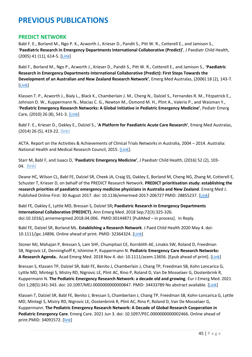### **PREDICT NETWORK**

Babl F. E., Borland M., Ngo P. K., Acworth J., Krieser D., Pandit S., Pitt W. R., Cotterell E., and Jamison S., '**Paediatric Research in Emergency Departments International Collaborative (Predict)'**, J Paediatr Child Health, (2005) 41 (11), 614-5. [\[Link\]](https://pubmed.ncbi.nlm.nih.gov/16398854/)

Babl F., Borland M., Ngo P., Acworth J., Krieser D., Pandit S., Pitt W. R., Cotterell E., and Jamison S., '**Paediatric Research in Emergency Departments International Collaborative (Predict): First Steps Towards the Development of an Australian and New Zealand Research Network'**, Emerg Med Australas, (2006) 18 (2), 143-7. [\[Link\]](https://pubmed.ncbi.nlm.nih.gov/16669940/)

Klassen T. P., Acworth J., Bialy L., Black K., Chamberlain J. M., Cheng N., Dalziel S., Fernandes R. M., Fitzpatrick E., Johnson D. W., Kuppermann N., Macias C. G., Newton M., Osmond M. H., Plint A., Valerio P., and Waisman Y., '**Pediatric Emergency Research Networks: A Global Initiative in Pediatric Emergency Medicine'**, Pediatr Emerg Care, (2010) 26 (8), 541-3. [\[Link\]](https://pubmed.ncbi.nlm.nih.gov/20657343/)

Babl F. E., Krieser D., Oakley E., Dalziel S., '**A Platform for Paediatric Acute Care Research'**, Emerg Med Australas, (2014) 26 (5), 419-22. [[link](http://www.ncbi.nlm.nih.gov/pubmed/25269434)]

ACTA. Report on the Activities & Achievements of Clinical Trials Networks in Australia, 2004 – 2014. Australia: National Health and Medical Research Council, 2015. [\[Link\]](https://clinicaltrialsalliance.org.au/resource/activities-critical-to-success-and-growth-of-clinical-trials-networks-sector-consultation/).

Starr M, Babl F, and Isaacs D, '**Paediatric Emergency Medicine'**, J Paediatr Child Health, (2016) 52 (2), 103- 04. [\[link\]](https://www.ncbi.nlm.nih.gov/pubmed/27062610)

Deane HC, Wilson CL, Babl FE, Dalziel SR, Cheek JA, Craig SS, Oakley E, Borland M, Cheng NG, Zhang M, Cotterell E, Schuster T, Krieser D, on behalf of the PREDICT Research Network. **PREDICT prioritisation study: establishing the research priorities of paediatric emergency medicine physicians in Australia and New Zealand**. Emerg Med J. Published Online First: 30 August 2017. doi: 10.1136/emermed-2017-206727 PMID: 28855237. [\[Link\]](https://pubmed.ncbi.nlm.nih.gov/28855237/)

Babl FE, Oakley E, Lyttle MD, Bressan S, Dalziel SR**; Paediatric Research in Emergency Departments International Collaborative (PREDICT).** Ann Emerg Med. 2018 Sep;72(3):325-326. doi:10.1016/j.annemergmed.2018.04.006. PMID:30144871 [PubMed – in process]. In Reply.

Babl FE, Dalziel SR, Borland ML. **Establishing a Research Network**. J Paed Child Health 2020 May 4. doi: 10.1111/jpc.14896. Online ahead of print. PMID: 32364324. [\[Link\]](https://pubmed.ncbi.nlm.nih.gov/32364324/)

Stoner MJ, Mahajan P, Bressan S, Lam SHF, Chumpitazi CE, Kornblith AE, Linakis SW, Roland D, Freedman SB, Nigrovic LE, Denninghoff K, Ishimine P, Kuppermann N. **Pediatric Emergency Care Research Networks: A Research Agenda.** Acad Emerg Med. 2018 Nov 4. doi: 10.1111/acem.13656. [Epub ahead of print]. [\[Link\]](https://pubmed.ncbi.nlm.nih.gov/30393902/)

Bressan S, Klassen TP, Dalziel SR, Babl FE, Benito J, Chamberlain J, Chang TP, Freedman SB, Kohn Loncarica G, Lyttle MD, Mintegi S, Mistry RD, Nigrovic LE, Plint AC, Rino P, Roland D, Van De Mosselaer G, Oostenbrink R, Kuppermann N. **The Pediatric Emergency Research Network: a decade old and growing**. Eur J Emerg Med. 2021 Oct 1;28(5):341-343. doi: 10.1097/MEJ.0000000000000847. PMID: 34433789 No abstract available. [\[Link\]](https://pubmed.ncbi.nlm.nih.gov/34433789/)

Klassen T, Dalziel SR, Babl FE, Benito J, Bressan S, Chamberlain J, Chang TP, Freedman SB, Kohn-Loncarica G, Lyttle MD, Mintegi S, Mistry RD, Nigrovic LE, Oostenbrink R, Plint AC, Rino P, Roland D, Van De Mosselaer G, Kuppermann. **The Pediatric Emergency Research Network: A Decade of Global Research Cooperation in Pediatric Emergency Care**. Emerg Care. 2021 Jun 3. doi: 10.1097/PEC.0000000000002466. Online ahead of print.PMID: 34091572. [\[link\]](https://pubmed.ncbi.nlm.nih.gov/34091572/)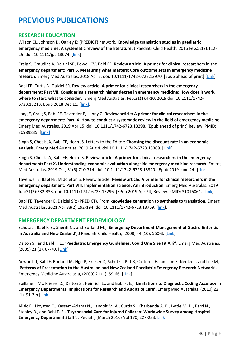### **RESEARCH EDUCATION**

Wilson CL, Johnson D, Oakley E; (PREDICT) network. **Knowledge translation studies in paediatric emergency medicine: A systematic review of the literature**. J Paediatr Child Health. 2016 Feb;52(2):112- 25. doi: 10.1111/jpc.13074. [\[link\]](https://pubmed.ncbi.nlm.nih.gov/27062613/)

Craig S, Graudins A, Dalziel SR, Powell CV, Babl FE. **Review article: A primer for clinical researchers in the emergency department: Part 6. Measuring what matters: Core outcome sets in emergency medicine research.** Emerg Med Australas. 2018 Apr 2. doi: 10.1111/1742-6723.12970. [Epub ahead of print] [\[Link\]](https://pubmed.ncbi.nlm.nih.gov/29609203/)

Babl FE, Curtis N, Dalziel SR**. Review article: A primer for clinical researchers in the emergency department: Part VII. Considering a research higher degree in emergency medicine: How does it work, where to start, what to consider.** Emerg Med Australas. Feb;31(1):4-10, 2019 doi: 10.1111/1742- 6723.13213. Epub 2018 Dec 11. [\[link\].](https://pubmed.ncbi.nlm.nih.gov/30548155/)

Long E, Craig S, Babl FE, Tavender E, Lunny C. **Review article: A primer for clinical researchers in the emergency department: Part IX. How to conduct a systematic review in the field of emergency medicine.** Emerg Med Australas. 2019 Apr 15. doi: 10.1111/1742-6723.13298. [Epub ahead of print] Review. PMID: 30989835. [\[Link\]](https://pubmed.ncbi.nlm.nih.gov/30989835/)

Singh S, Cheek JA, Babl FE, Hoch JS. Letters to the Editor: **Choosing the discount rate in an economic analysis.** Emerg Med Australas. 2019 Aug 4. doi:10.1111/1742-6723.13369. [\[Link\]](https://pubmed.ncbi.nlm.nih.gov/31379134/)

Singh S, Cheek JA, Babl FE, Hoch JS. Review article: **A primer for clinical researchers in the emergency department: Part X. Understanding economic evaluation alongside emergency medicine research**. Emerg Med Australas. 2019 Oct; 31(5):710-714. doi: 10.1111/1742-6723.13320. [Epub 2019 June 24] [\[Link](https://pubmed.ncbi.nlm.nih.gov/31237083/)

Tavender E, Babl FE, Middleton S. Review article: **Review article: A primer for clinical researchers in the emergency department: Part VIII. Implementation science: An introduction**. Emerg Med Australas. 2019 Jun;31(3):332-338. doi: 10.1111/1742-6723.13296. [EPub 2019 Apr 24] Review. PMID: 31016861. [\[Link\]](https://pubmed.ncbi.nlm.nih.gov/31016861/)

Babl FE, Tavender E, Dalziel SR; (PREDICT). **From knowledge generation to synthesis to translation.** Emerg Med Australas. 2021 Apr;33(2):192-194. doi: 10.1111/1742-6723.13759. [\[link\]](https://pubmed.ncbi.nlm.nih.gov/33733626/).

### **EMERGENCY DEPARTMENT EPIDEMIOLOGY**

Schutz J., Babl F. E., Sheriff N., and Borland M., '**Emergency Department Management of Gastro-Enteritis in Australia and New Zealand'**, J Paediatr Child Health, (2008) 44 (10), 560-3. [\[Link\]](https://pubmed.ncbi.nlm.nih.gov/18564074/)

Dalton S., and Babl F. E., '**Paediatric Emergency Guidelines: Could One Size Fit All?'**, Emerg Med Australas, (2009) 21 (1), 67-70. [\[Link\]](https://pubmed.ncbi.nlm.nih.gov/19254315/)

Acworth J, Babl F, Borland M, Ngo P, Krieser D, Schutz J, Pitt R, Cotterell E, Jamison S, Neutze J, and Lee M, **'Patterns of Presentation to the Australian and New Zealand Paediatric Emergency Research Network'**, Emergency Medicine Australasia, (2009) 21 (1), 59-66. [\[Link\]](https://pubmed.ncbi.nlm.nih.gov/19254314/)

Spillane I. M., Krieser D., Dalton S., Heinrich L., and Babl F. E., '**Limitations to Diagnostic Coding Accuracy in Emergency Departments: Implications for Research and Audits of Care'**, Emerg Med Australas, (2010) 22 (1), 91-2.n [\[Link\]](https://pubmed.ncbi.nlm.nih.gov/20152010/)

Alisic E., Hoysted C., Kassam-Adams N., Landolt M. A., Curtis S., Kharbanda A. B., Lyttle M. D., Parri N., Stanley R., and Babl F. E., '**Psychosocial Care for Injured Children: Worldwide Survey among Hospital Emergency Department Staff'**, J Pediatr, (March 2016) Vol 170, 227-233[. Link](https://pubmed.ncbi.nlm.nih.gov/26707581/)